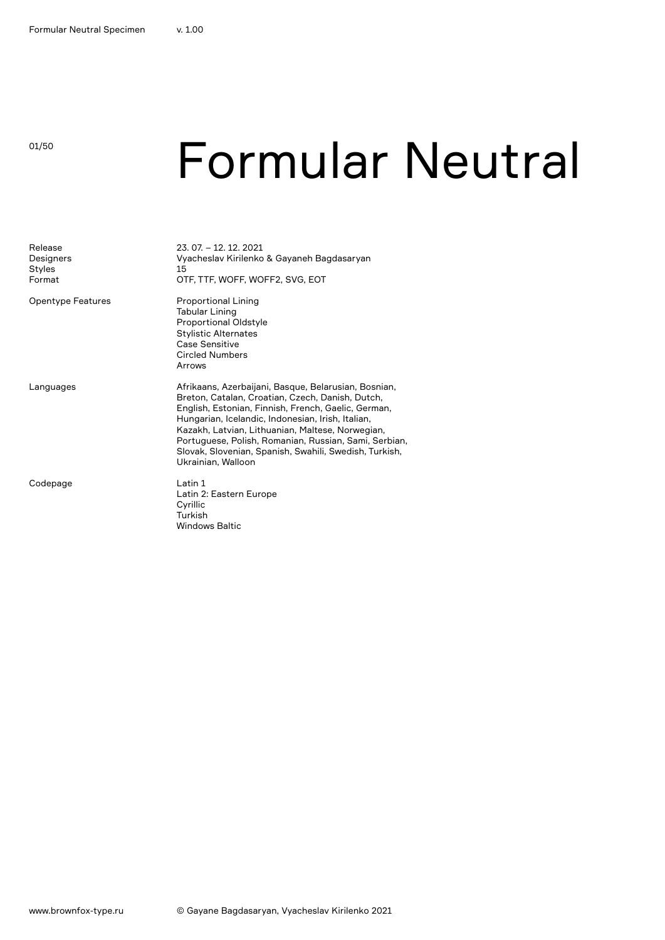### 01/50

### Formular Neutral

| Release<br>Designers<br><b>Styles</b><br>Format | 23, 07, -12, 12, 2021<br>Vyacheslav Kirilenko & Gayaneh Bagdasaryan<br>15<br>OTF, TTF, WOFF, WOFF2, SVG, EOT                                                                                                                                                                                                                                                                                                      |
|-------------------------------------------------|-------------------------------------------------------------------------------------------------------------------------------------------------------------------------------------------------------------------------------------------------------------------------------------------------------------------------------------------------------------------------------------------------------------------|
| Opentype Features                               | <b>Proportional Lining</b><br><b>Tabular Lining</b><br><b>Proportional Oldstyle</b><br><b>Stylistic Alternates</b><br>Case Sensitive<br><b>Circled Numbers</b><br>Arrows                                                                                                                                                                                                                                          |
| Languages                                       | Afrikaans, Azerbaijani, Basque, Belarusian, Bosnian,<br>Breton, Catalan, Croatian, Czech, Danish, Dutch,<br>English, Estonian, Finnish, French, Gaelic, German,<br>Hungarian, Icelandic, Indonesian, Irish, Italian,<br>Kazakh, Latvian, Lithuanian, Maltese, Norwegian,<br>Portuguese, Polish, Romanian, Russian, Sami, Serbian,<br>Slovak, Slovenian, Spanish, Swahili, Swedish, Turkish,<br>Ukrainian, Walloon |
| Codepage                                        | Latin 1<br>Latin 2: Eastern Europe<br>Cyrillic<br>Turkish<br>Windows Baltic                                                                                                                                                                                                                                                                                                                                       |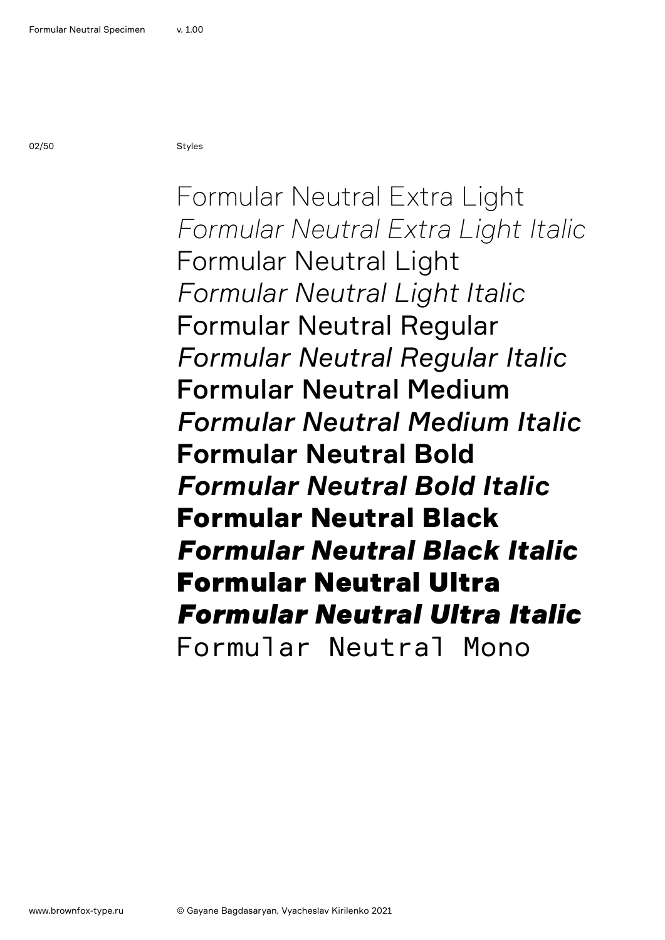Formular Neutral Extra Light *Formular Neutral Extra Light Italic* Formular Neutral Light *Formular Neutral Light Italic* Formular Neutral Regular *Formular Neutral Regular Italic* Formular Neutral Medium *Formular Neutral Medium Italic* **Formular Neutral Bold** *Formular Neutral Bold Italic* Formular Neutral Black *Formular Neutral Black Italic* Formular Neutral Ultra *Formular Neutral Ultra Italic* Formular Neutral Mono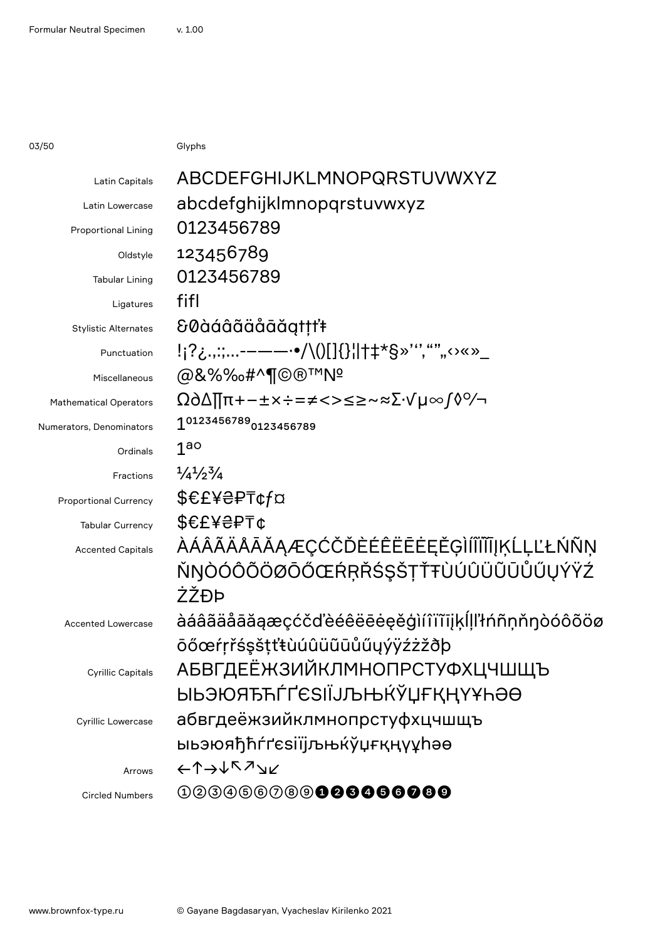03/50 Glyphs

| Latin Capitals                | ABCDEFGHIJKLMNOPQRSTUVWXYZ                     |
|-------------------------------|------------------------------------------------|
| <b>Latin Lowercase</b>        | abcdefghijklmnopqrstuvwxyz                     |
| <b>Proportional Lining</b>    | 0123456789                                     |
| Oldstyle                      | 123456789                                      |
| <b>Tabular Lining</b>         | 0123456789                                     |
| Ligatures                     | fifl                                           |
| <b>Stylistic Alternates</b>   | &0àáâãäåāăgtṭṭ'ŧ                               |
| Punctuation                   | !¡?¿.,:;-–——·•/\()[]{}¦ †‡*§»''',"""↔×»_       |
| Miscellaneous                 | @&%‰#^¶©®™Nº                                   |
| <b>Mathematical Operators</b> | Ω∂∆∏π+−±×÷=≠<>≤≥~≈∑∙√µ∞∫◊%                     |
| Numerators, Denominators      | 10123456789 <sub>0123456789</sub>              |
| Ordinals                      | 1 <sub>g</sub>                                 |
| Fractions                     | $\frac{1}{4}$ / <sub>2</sub> $\frac{3}{4}$     |
| <b>Proportional Currency</b>  | \$€£¥₴₽₸¢f¤                                    |
| <b>Tabular Currency</b>       | \$€£¥₴₽₸¢                                      |
| <b>Accented Capitals</b>      | ÀÁÂÃÄÅĀĂĂĄÆÇĆČĎÈÉÊËĒĖĘĚĢÌÍĨĨĨĨJKĹĻĽŁŃÑN        |
|                               | ŇŊÒÓÔÕÖØŌŐŒŔŖŘŚŞŠŢŤŦÙÚÛÜŨŨŮŰŲÝŸŹ               |
|                               | ŻŽĐÞ                                           |
| <b>Accented Lowercase</b>     | àáâãäåāăaæçćčďèéêëēeeěģìíîïïījķĺḷľłńñṇňŋòóôõöø |
|                               | ōőœŕŗřśşšṭťŧùúûüũūůűyýÿźżžðþ                   |
| <b>Cyrillic Capitals</b>      | <b>АБВГДЕЁЖЗИЙКЛМНОПРСТУФХЦЧШЩЪ</b>            |
|                               | ӸҌӬЮЯЂЋЃҐЄЅӀЇЈЉЊЌЎЏҒҚҢҮҰҺӘѲ                    |
| <b>Cyrillic Lowercase</b>     | абвгдеёжзийклмнопрстуфхцчшщъ                   |
|                               | ыьэюяђћѓґєѕіїјљњќўџғқңүұhәө                    |
| Arrows                        | ←↑→↓↖↗⊻                                        |
| <b>Circled Numbers</b>        | 003066089 <b>008606000</b>                     |
|                               |                                                |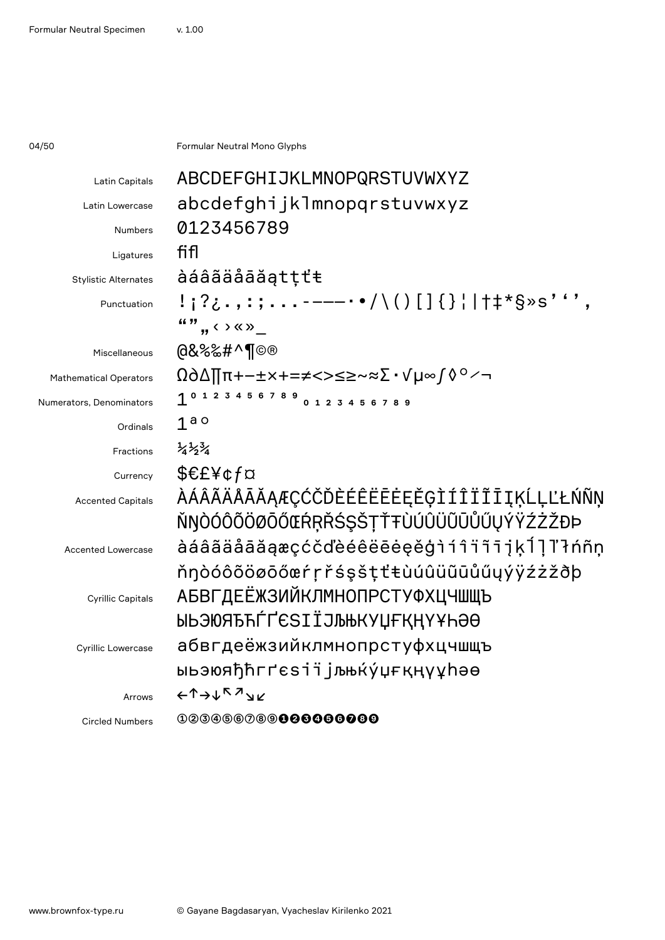04/50 **Formular Neutral Mono Glyphs** 

| Latin Capitals                | ABCDEFGHIJKLMNOPQRSTUVWXYZ                                                                 |
|-------------------------------|--------------------------------------------------------------------------------------------|
| Latin Lowercase               | abcdefghijklmnopqrstuvwxyz                                                                 |
| Numbers                       | 0123456789                                                                                 |
| Ligatures                     | fifl                                                                                       |
| <b>Stylistic Alternates</b>   | àáâãäåāăątṭťŧ                                                                              |
| Punctuation                   | !;?¿.,:;-----•/\()[]{}¦ †‡*§»s''',                                                         |
|                               | $\mathbf{w}$ , $\mathbf{w}$ , $\mathbf{w}$                                                 |
| Miscellaneous                 | @&%‰#^¶©®                                                                                  |
| <b>Mathematical Operators</b> | Ω∂∆∏π+−±×+=≠<>≤≥~≈∑∙√µ∞∫◊°∕¬                                                               |
| Numerators, Denominators      | 1 0 1 2 3 4 5 6 7 8 9 0 1 2 3 4 5 6 7 8 9                                                  |
| Ordinals                      | 1 <sup>a</sup>                                                                             |
| Fractions                     | $\frac{1}{4} \frac{1}{2} \frac{3}{4}$                                                      |
| Currency                      | \$€£¥¢f¤                                                                                   |
| <b>Accented Capitals</b>      | ÀÁÂÃÄÅĀĂĂĄÆÇĆČĎÈÉÊËĒĖEĚĢÌÍÎÏĨĪĮĶĹĻĽŁŃÑŅ                                                    |
|                               | ŇŊÒÓÔÕÖØŌŐŒŔŖŘŚŞŠŢŤŦÙÚÛÜŨŨŮŰŲÝŸŹŻŽĐÞ                                                       |
| <b>Accented Lowercase</b>     | àáâãäåāăąæçćčďèéêëēėęěģìíîïïījķĺ]ľłńñṇ                                                     |
|                               | ňŋòóôõöøōőœŕŗřśşšṭťŧùúûüũūůűyýÿźżžðþ                                                       |
| <b>Cyrillic Capitals</b>      | <b>АБВГДЕЁЖЗИЙКЛМНОПРСТУФХЦЧШЩЪ</b>                                                        |
|                               | ЫЬЭЮЯЂЋЃҐЄЅӀЇЈЉЊКУЏҒҚҢҮҰҺӘӨ                                                                |
| Cyrillic Lowercase            | абвгдеёжзийклмнопрстуфхцчшщъ                                                               |
|                               | ыьэюяђћгґєѕії jљњќу́џғқңүұhәө                                                              |
| Arrows                        | $\leftarrow \uparrow \rightarrow \downarrow \uparrow \neg \rightarrow \downarrow \swarrow$ |
| <b>Circled Numbers</b>        | 000066089 <b>00006000</b>                                                                  |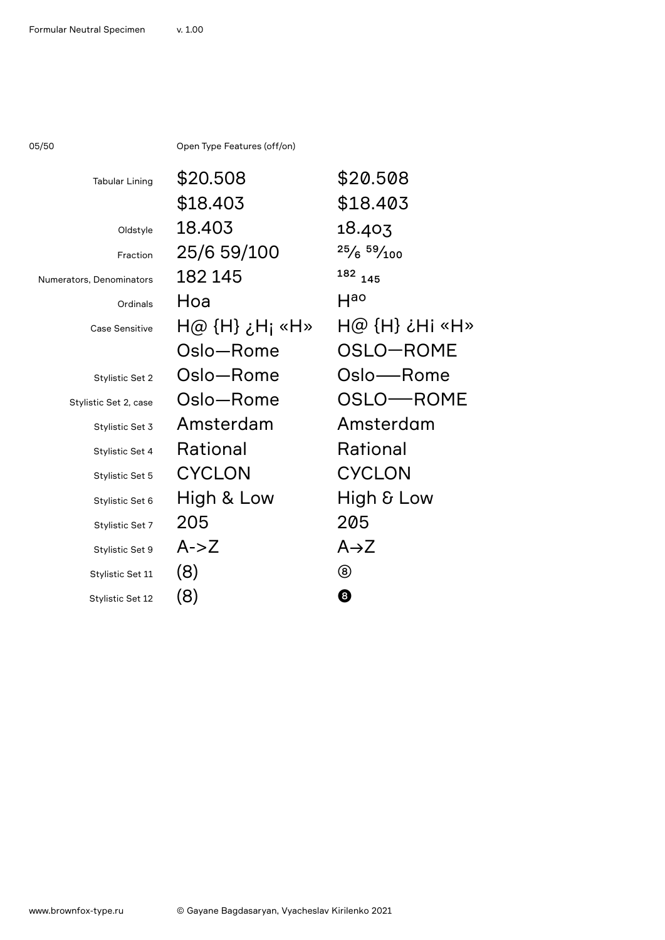05/50 Open Type Features (off/on)

| <b>Tabular Lining</b>    | \$20.508       | \$20.508                                  |
|--------------------------|----------------|-------------------------------------------|
|                          | \$18.403       | \$18.403                                  |
| Oldstyle                 | 18.403         | 18.403                                    |
| Fraction                 | 25/6 59/100    | $25/6$ $59/100$                           |
| Numerators, Denominators | 182 145        | 182 145                                   |
| Ordinals                 | Hoa            | $H^{\text{ao}}$                           |
| <b>Case Sensitive</b>    | H@ {H} ¿H; «H» | $\mathsf{H}\otimes\{\mathsf{H}\}$ ¿Hi «H» |
|                          | Oslo-Rome      | OSLO-ROME                                 |
| Stylistic Set 2          | Oslo-Rome      | Oslo-Rome                                 |
| Stylistic Set 2, case    | Oslo-Rome      | OSLO-ROME                                 |
| Stylistic Set 3          | Amsterdam      | Amsterdam                                 |
| Stylistic Set 4          | Rational       | Rational                                  |
| Stylistic Set 5          | <b>CYCLON</b>  | <b>CYCLON</b>                             |
| Stylistic Set 6          | High & Low     | High & Low                                |
| Stylistic Set 7          | 205            | 205                                       |
| Stylistic Set 9          | $A - Z$        | $A\rightarrow Z$                          |
| Stylistic Set 11         | (8)            | ⑧                                         |
| Stylistic Set 12         | (8)            | 0                                         |
|                          |                |                                           |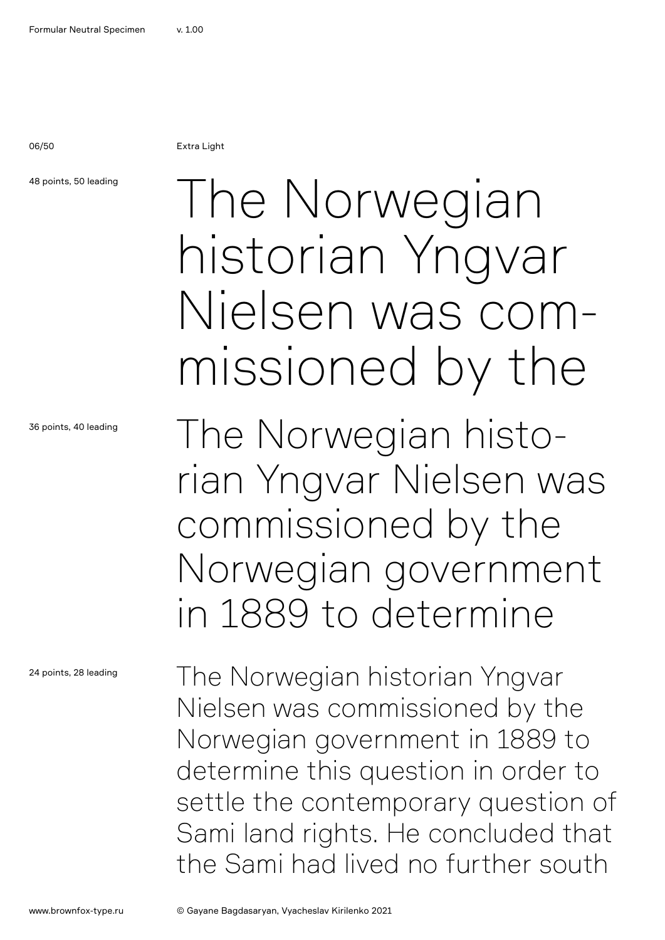06/50 Extra Light

48 points, 50 leading

36 points, 40 leading

24 points, 28 leading

### The Norwegian historian Yngvar Nielsen was commissioned by the

The Norwegian historian Yngvar Nielsen was commissioned by the Norwegian government in 1889 to determine

The Norwegian historian Yngvar Nielsen was commissioned by the Norwegian government in 1889 to determine this question in order to settle the contemporary question of Sami land rights. He concluded that the Sami had lived no further south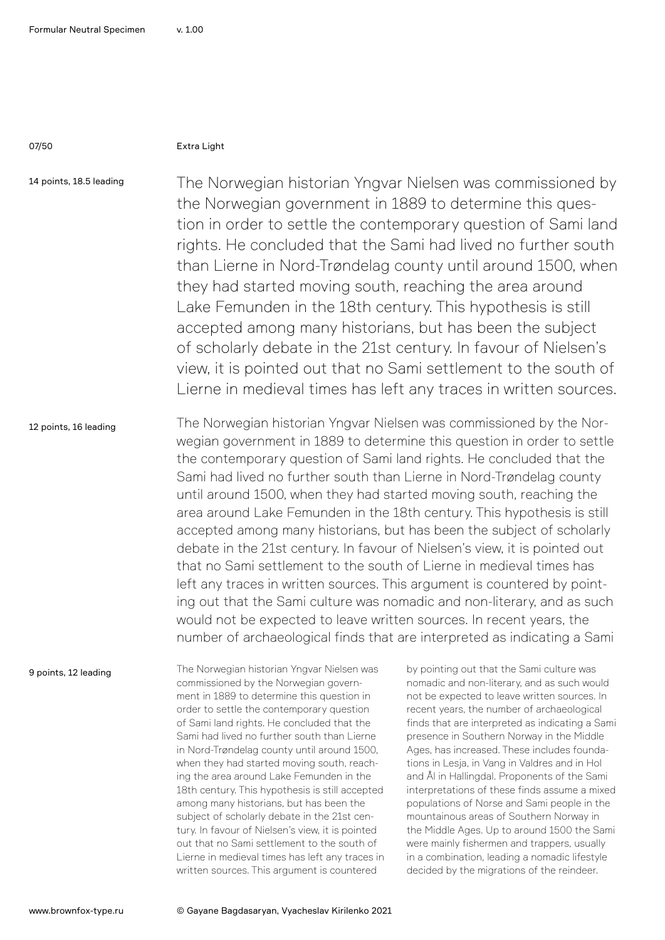### 07/50 Extra Light

14 points, 18.5 leading

The Norwegian historian Yngvar Nielsen was commissioned by the Norwegian government in 1889 to determine this question in order to settle the contemporary question of Sami land rights. He concluded that the Sami had lived no further south than Lierne in Nord-Trøndelag county until around 1500, when they had started moving south, reaching the area around Lake Femunden in the 18th century. This hypothesis is still accepted among many historians, but has been the subject of scholarly debate in the 21st century. In favour of Nielsen's view, it is pointed out that no Sami settlement to the south of Lierne in medieval times has left any traces in written sources.

### 12 points, 16 leading

The Norwegian historian Yngvar Nielsen was commissioned by the Norwegian government in 1889 to determine this question in order to settle the contemporary question of Sami land rights. He concluded that the Sami had lived no further south than Lierne in Nord-Trøndelag county until around 1500, when they had started moving south, reaching the area around Lake Femunden in the 18th century. This hypothesis is still accepted among many historians, but has been the subject of scholarly debate in the 21st century. In favour of Nielsen's view, it is pointed out that no Sami settlement to the south of Lierne in medieval times has left any traces in written sources. This argument is countered by pointing out that the Sami culture was nomadic and non-literary, and as such would not be expected to leave written sources. In recent years, the number of archaeological finds that are interpreted as indicating a Sami

9 points, 12 leading

The Norwegian historian Yngvar Nielsen was commissioned by the Norwegian government in 1889 to determine this question in order to settle the contemporary question of Sami land rights. He concluded that the Sami had lived no further south than Lierne in Nord-Trøndelag county until around 1500, when they had started moving south, reaching the area around Lake Femunden in the 18th century. This hypothesis is still accepted among many historians, but has been the subject of scholarly debate in the 21st century. In favour of Nielsen's view, it is pointed out that no Sami settlement to the south of Lierne in medieval times has left any traces in written sources. This argument is countered

by pointing out that the Sami culture was nomadic and non-literary, and as such would not be expected to leave written sources. In recent years, the number of archaeological finds that are interpreted as indicating a Sami presence in Southern Norway in the Middle Ages, has increased. These includes foundations in Lesja, in Vang in Valdres and in Hol and Ål in Hallingdal. Proponents of the Sami interpretations of these finds assume a mixed populations of Norse and Sami people in the mountainous areas of Southern Norway in the Middle Ages. Up to around 1500 the Sami were mainly fishermen and trappers, usually in a combination, leading a nomadic lifestyle decided by the migrations of the reindeer.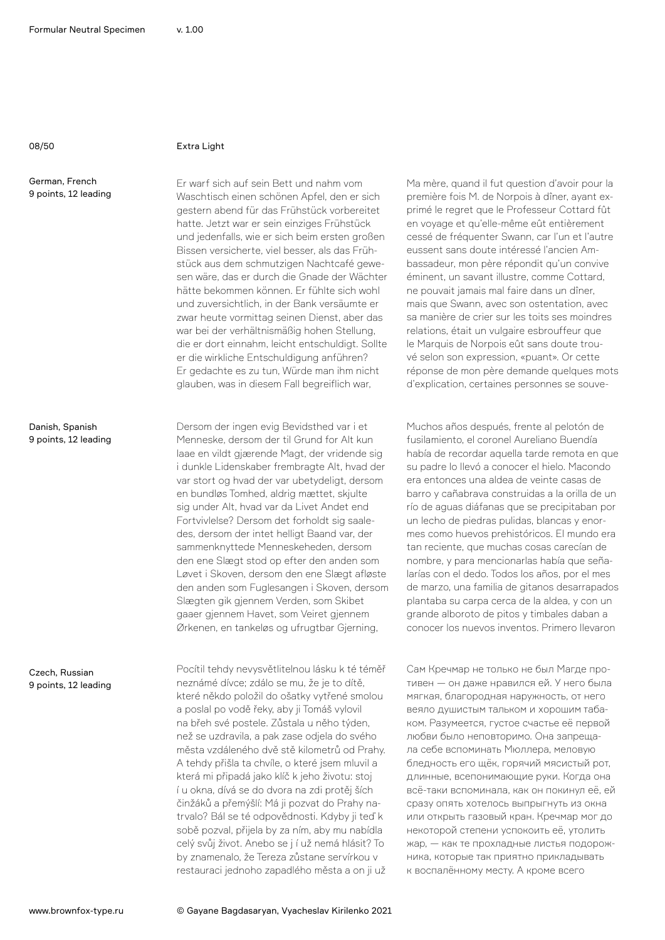### 08/50 Extra Light

German, French 9 points, 12 leading

Danish, Spanish 9 points, 12 leading

Czech, Russian 9 points, 12 leading

Er warf sich auf sein Bett und nahm vom Waschtisch einen schönen Apfel, den er sich gestern abend für das Frühstück vorbereitet hatte. Jetzt war er sein einziges Frühstück und jedenfalls, wie er sich beim ersten großen Bissen versicherte, viel besser, als das Frühstück aus dem schmutzigen Nachtcafé gewesen wäre, das er durch die Gnade der Wächter hätte bekommen können. Er fühlte sich wohl und zuversichtlich, in der Bank versäumte er zwar heute vormittag seinen Dienst, aber das war bei der verhältnismäßig hohen Stellung, die er dort einnahm, leicht entschuldigt. Sollte er die wirkliche Entschuldigung anführen? Er gedachte es zu tun, Würde man ihm nicht glauben, was in diesem Fall begreiflich war,

Dersom der ingen evig Bevidsthed var i et Menneske, dersom der til Grund for Alt kun laae en vildt gjærende Magt, der vridende sig i dunkle Lidenskaber frembragte Alt, hvad der var stort og hvad der var ubetydeligt, dersom en bundløs Tomhed, aldrig mættet, skjulte sig under Alt, hvad var da Livet Andet end Fortvivlelse? Dersom det forholdt sig saaledes, dersom der intet helligt Baand var, der sammenknyttede Menneskeheden, dersom den ene Slægt stod op efter den anden som Løvet i Skoven, dersom den ene Slægt afløste den anden som Fuglesangen i Skoven, dersom Slægten gik gjennem Verden, som Skibet gaaer gjennem Havet, som Veiret gjennem Ørkenen, en tankeløs og ufrugtbar Gjerning,

Pocítil tehdy nevysvětlitelnou lásku k té téměř neznámé dívce; zdálo se mu, že je to dítě, které někdo položil do ošatky vytřené smolou a poslal po vodě řeky, aby ji Tomáš vylovil na břeh své postele. Zůstala u něho týden, než se uzdravila, a pak zase odjela do svého města vzdáleného dvě stě kilometrů od Prahy. A tehdy přišla ta chvíle, o které jsem mluvil a která mi připadá jako klíč k jeho životu: stoj í u okna, dívá se do dvora na zdi protěj ších činžáků a přemýšlí: Má ji pozvat do Prahy natrvalo? Bál se té odpovědnosti. Kdyby ji teď k sobě pozval, přijela by za ním, aby mu nabídla celý svůj život. Anebo se j í už nemá hlásit? To by znamenalo, že Tereza zůstane servírkou v restauraci jednoho zapadlého města a on ji už

Ma mère, quand il fut question d'avoir pour la première fois M. de Norpois à dîner, ayant exprimé le regret que le Professeur Cottard fût en voyage et qu'elle-même eût entièrement cessé de fréquenter Swann, car l'un et l'autre eussent sans doute intéressé l'ancien Ambassadeur, mon père répondit qu'un convive éminent, un savant illustre, comme Cottard, ne pouvait jamais mal faire dans un dîner, mais que Swann, avec son ostentation, avec sa manière de crier sur les toits ses moindres relations, était un vulgaire esbrouffeur que le Marquis de Norpois eût sans doute trouvé selon son expression, «puant». Or cette réponse de mon père demande quelques mots d'explication, certaines personnes se souve-

Muchos años después, frente al pelotón de fusilamiento, el coronel Aureliano Buendía había de recordar aquella tarde remota en que su padre lo llevó a conocer el hielo. Macondo era entonces una aldea de veinte casas de barro y cañabrava construidas a la orilla de un río de aguas diáfanas que se precipitaban por un lecho de piedras pulidas, blancas y enormes como huevos prehistóricos. El mundo era tan reciente, que muchas cosas carecían de nombre, y para mencionarlas había que señalarías con el dedo. Todos los años, por el mes de marzo, una familia de gitanos desarrapados plantaba su carpa cerca de la aldea, y con un grande alboroto de pitos y timbales daban a conocer los nuevos inventos. Primero llevaron

Сам Кречмар не только не был Магде противен — он даже нравился ей. У него была мягкая, благородная наружность, от него веяло душистым тальком и хорошим табаком. Разумеется, густое счастье её первой любви было неповторимо. Она запрещала себе вспоминать Мюллера, меловую бледность его щёк, горячий мясистый рот, длинные, всепонимающие руки. Когда она всё-таки вспоминала, как он покинул её, ей сразу опять хотелось выпрыгнуть из окна или открыть газовый кран. Кречмар мог до некоторой степени успокоить её, утолить жар, — как те прохладные листья подорожника, которые так приятно прикладывать к воспалённому месту. А кроме всего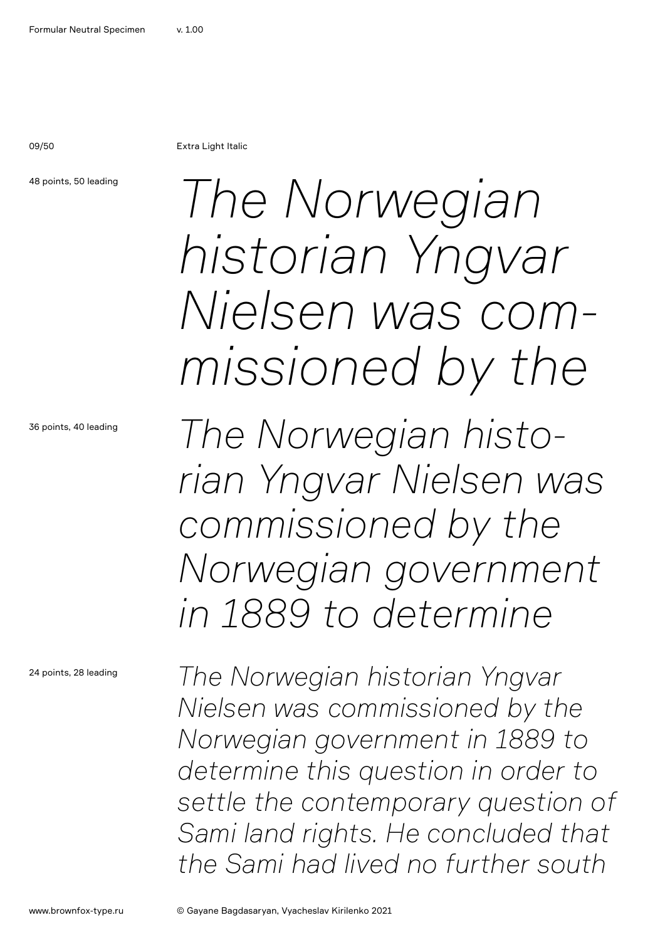09/50 Extra Light Italic

48 points, 50 leading

36 points, 40 leading

24 points, 28 leading

*The Norwegian historian Yngvar Nielsen was commissioned by the*

*The Norwegian historian Yngvar Nielsen was commissioned by the Norwegian government in 1889 to determine* 

*The Norwegian historian Yngvar Nielsen was commissioned by the Norwegian government in 1889 to determine this question in order to settle the contemporary question of Sami land rights. He concluded that the Sami had lived no further south*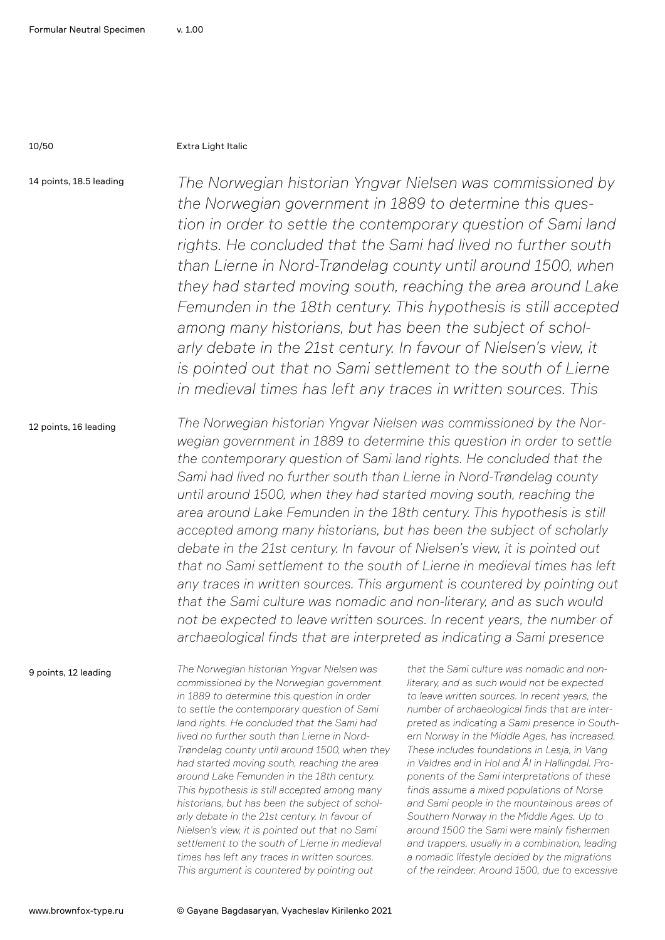### 10/50 Extra Light Italic

14 points, 18.5 leading

*The Norwegian historian Yngvar Nielsen was commissioned by the Norwegian government in 1889 to determine this question in order to settle the contemporary question of Sami land rights. He concluded that the Sami had lived no further south than Lierne in Nord-Trøndelag county until around 1500, when they had started moving south, reaching the area around Lake Femunden in the 18th century. This hypothesis is still accepted among many historians, but has been the subject of schol*arly debate in the 21st century. In favour of Nielsen's view, it *is pointed out that no Sami settlement to the south of Lierne in medieval times has left any traces in written sources. This* 

#### 12 points, 16 leading

*The Norwegian historian Yngvar Nielsen was commissioned by the Norwegian government in 1889 to determine this question in order to settle the contemporary question of Sami land rights. He concluded that the Sami had lived no further south than Lierne in Nord-Trøndelag county until around 1500, when they had started moving south, reaching the area around Lake Femunden in the 18th century. This hypothesis is still accepted among many historians, but has been the subject of scholarly debate in the 21st century. In favour of Nielsen's view, it is pointed out that no Sami settlement to the south of Lierne in medieval times has left*  any traces in written sources. This argument is countered by pointing out *that the Sami culture was nomadic and non-literary, and as such would not be expected to leave written sources. In recent years, the number of archaeological finds that are interpreted as indicating a Sami presence* 

9 points, 12 leading

*The Norwegian historian Yngvar Nielsen was commissioned by the Norwegian government in 1889 to determine this question in order to settle the contemporary question of Sami land rights. He concluded that the Sami had lived no further south than Lierne in Nord-Trøndelag county until around 1500, when they had started moving south, reaching the area around Lake Femunden in the 18th century. This hypothesis is still accepted among many historians, but has been the subject of scholarly debate in the 21st century. In favour of Nielsen's view, it is pointed out that no Sami settlement to the south of Lierne in medieval times has left any traces in written sources. This argument is countered by pointing out* 

*that the Sami culture was nomadic and nonliterary, and as such would not be expected to leave written sources. In recent years, the number of archaeological finds that are interpreted as indicating a Sami presence in Southern Norway in the Middle Ages, has increased. These includes foundations in Lesja, in Vang in Valdres and in Hol and Ål in Hallingdal. Proponents of the Sami interpretations of these finds assume a mixed populations of Norse and Sami people in the mountainous areas of Southern Norway in the Middle Ages. Up to around 1500 the Sami were mainly fishermen and trappers, usually in a combination, leading a nomadic lifestyle decided by the migrations of the reindeer. Around 1500, due to excessive*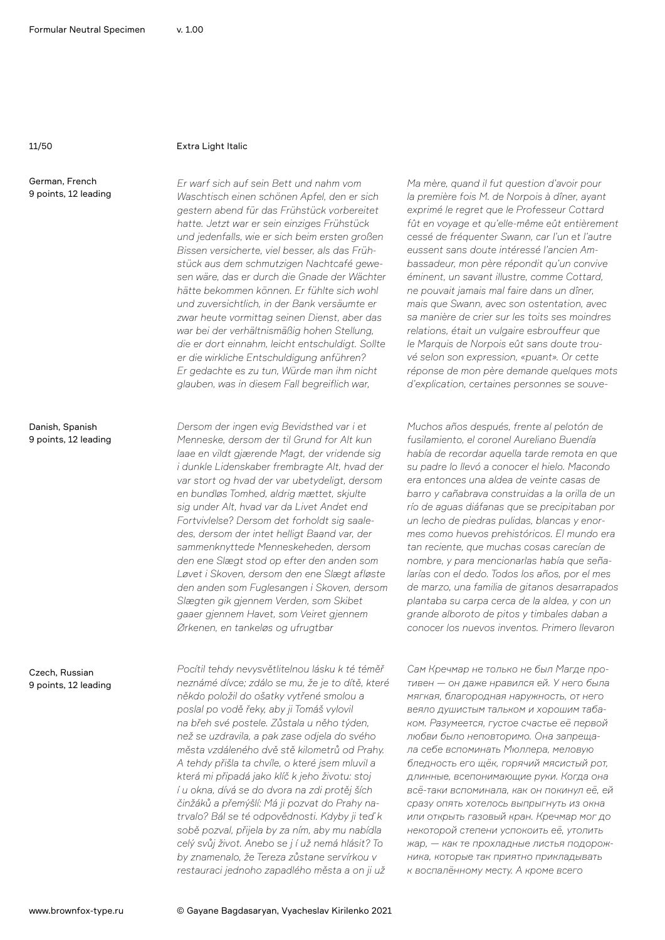German, French 9 points, 12 leading

### 11/50 Extra Light Italic

*Er warf sich auf sein Bett und nahm vom Waschtisch einen schönen Apfel, den er sich gestern abend für das Frühstück vorbereitet hatte. Jetzt war er sein einziges Frühstück und jedenfalls, wie er sich beim ersten großen Bissen versicherte, viel besser, als das Frühstück aus dem schmutzigen Nachtcafé gewesen wäre, das er durch die Gnade der Wächter hätte bekommen können. Er fühlte sich wohl und zuversichtlich, in der Bank versäumte er zwar heute vormittag seinen Dienst, aber das war bei der verhältnismäßig hohen Stellung, die er dort einnahm, leicht entschuldigt. Sollte er die wirkliche Entschuldigung anführen? Er gedachte es zu tun, Würde man ihm nicht glauben, was in diesem Fall begreiflich war,*

*Dersom der ingen evig Bevidsthed var i et Menneske, dersom der til Grund for Alt kun laae en vildt gjærende Magt, der vridende sig i dunkle Lidenskaber frembragte Alt, hvad der var stort og hvad der var ubetydeligt, dersom en bundløs Tomhed, aldrig mættet, skjulte sig under Alt, hvad var da Livet Andet end Fortvivlelse? Dersom det forholdt sig saaledes, dersom der intet helligt Baand var, der sammenknyttede Menneskeheden, dersom den ene Slægt stod op efter den anden som Løvet i Skoven, dersom den ene Slægt afløste den anden som Fuglesangen i Skoven, dersom Slægten gik gjennem Verden, som Skibet gaaer gjennem Havet, som Veiret gjennem Ørkenen, en tankeløs og ufrugtbar*

*Pocítil tehdy nevysvětlitelnou lásku k té téměř neznámé dívce; zdálo se mu, že je to dítě, které někdo položil do ošatky vytřené smolou a poslal po vodě řeky, aby ji Tomáš vylovil na břeh své postele. Zůstala u něho týden, než se uzdravila, a pak zase odjela do svého města vzdáleného dvě stě kilometrů od Prahy. A tehdy přišla ta chvíle, o které jsem mluvil a která mi připadá jako klíč k jeho životu: stoj í u okna, dívá se do dvora na zdi protěj ších činžáků a přemýšlí: Má ji pozvat do Prahy natrvalo? Bál se té odpovědnosti. Kdyby ji teď k sobě pozval, přijela by za ním, aby mu nabídla celý svůj život. Anebo se j í už nemá hlásit? To by znamenalo, že Tereza zůstane servírkou v restauraci jednoho zapadlého města a on ji už*

*Ma mère, quand il fut question d'avoir pour la première fois M. de Norpois à dîner, ayant exprimé le regret que le Professeur Cottard fût en voyage et qu'elle-même eût entièrement cessé de fréquenter Swann, car l'un et l'autre eussent sans doute intéressé l'ancien Ambassadeur, mon père répondit qu'un convive éminent, un savant illustre, comme Cottard, ne pouvait jamais mal faire dans un dîner, mais que Swann, avec son ostentation, avec sa manière de crier sur les toits ses moindres relations, était un vulgaire esbrouffeur que le Marquis de Norpois eût sans doute trouvé selon son expression, «puant». Or cette réponse de mon père demande quelques mots d'explication, certaines personnes se souve-*

*Muchos años después, frente al pelotón de fusilamiento, el coronel Aureliano Buendía había de recordar aquella tarde remota en que su padre lo llevó a conocer el hielo. Macondo era entonces una aldea de veinte casas de barro y cañabrava construidas a la orilla de un río de aguas diáfanas que se precipitaban por un lecho de piedras pulidas, blancas y enormes como huevos prehistóricos. El mundo era tan reciente, que muchas cosas carecían de nombre, y para mencionarlas había que señalarías con el dedo. Todos los años, por el mes de marzo, una familia de gitanos desarrapados plantaba su carpa cerca de la aldea, y con un grande alboroto de pitos y timbales daban a conocer los nuevos inventos. Primero llevaron*

*Сам Кречмар не только не был Магде противен — он даже нравился ей. У него была мягкая, благородная наружность, от него веяло душистым тальком и хорошим табаком. Разумеется, густое счастье её первой любви было неповторимо. Она запрещала себе вспоминать Мюллера, меловую бледность его щёк, горячий мясистый рот, длинные, всепонимающие руки. Когда она всё-таки вспоминала, как он покинул её, ей сразу опять хотелось выпрыгнуть из окна или открыть газовый кран. Кречмар мог до некоторой степени успокоить её, утолить жар, — как те прохладные листья подорожника, которые так приятно прикладывать к воспалённому месту. А кроме всего*

Danish, Spanish 9 points, 12 leading

Czech, Russian 9 points, 12 leading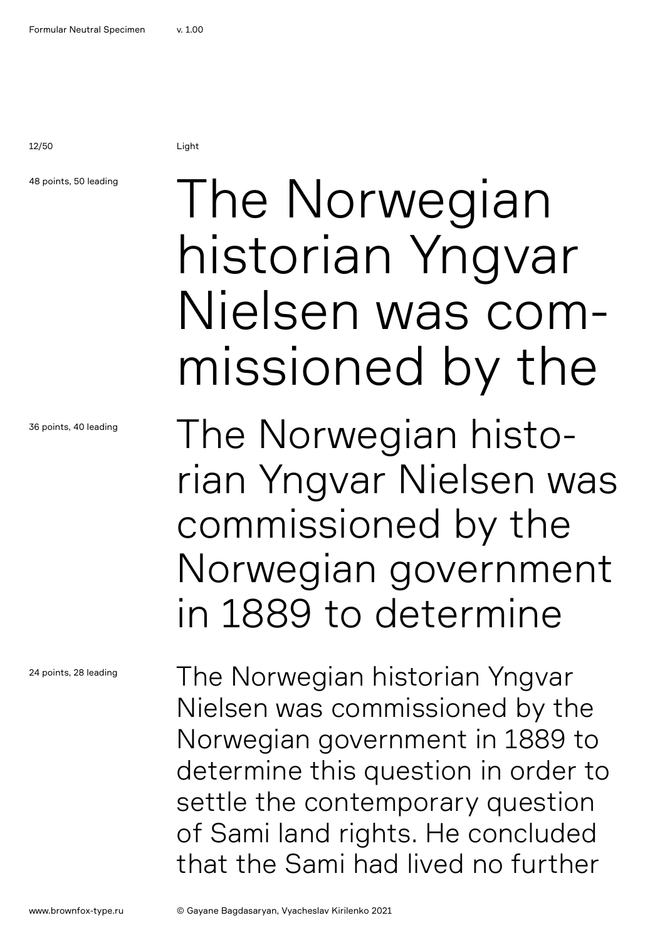12/50 Light

### 48 points, 50 leading

36 points, 40 leading

24 points, 28 leading

### The Norwegian historian Yngvar Nielsen was commissioned by the

The Norwegian historian Yngvar Nielsen was commissioned by the Norwegian government in 1889 to determine

The Norwegian historian Yngvar Nielsen was commissioned by the Norwegian government in 1889 to determine this question in order to settle the contemporary question of Sami land rights. He concluded that the Sami had lived no further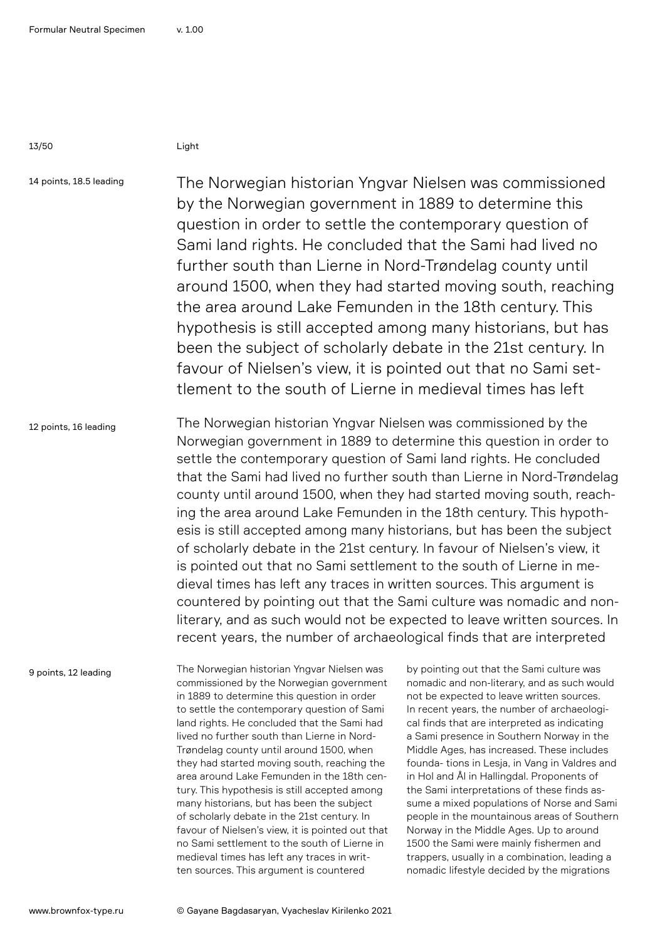13/50 Light

14 points, 18.5 leading

The Norwegian historian Yngvar Nielsen was commissioned by the Norwegian government in 1889 to determine this question in order to settle the contemporary question of Sami land rights. He concluded that the Sami had lived no further south than Lierne in Nord-Trøndelag county until around 1500, when they had started moving south, reaching the area around Lake Femunden in the 18th century. This hypothesis is still accepted among many historians, but has been the subject of scholarly debate in the 21st century. In favour of Nielsen's view, it is pointed out that no Sami settlement to the south of Lierne in medieval times has left

12 points, 16 leading The Norwegian historian Yngvar Nielsen was commissioned by the Norwegian government in 1889 to determine this question in order to settle the contemporary question of Sami land rights. He concluded that the Sami had lived no further south than Lierne in Nord-Trøndelag county until around 1500, when they had started moving south, reaching the area around Lake Femunden in the 18th century. This hypothesis is still accepted among many historians, but has been the subject of scholarly debate in the 21st century. In favour of Nielsen's view, it is pointed out that no Sami settlement to the south of Lierne in medieval times has left any traces in written sources. This argument is countered by pointing out that the Sami culture was nomadic and nonliterary, and as such would not be expected to leave written sources. In recent years, the number of archaeological finds that are interpreted

9 points, 12 leading

The Norwegian historian Yngvar Nielsen was commissioned by the Norwegian government in 1889 to determine this question in order to settle the contemporary question of Sami land rights. He concluded that the Sami had lived no further south than Lierne in Nord-Trøndelag county until around 1500, when they had started moving south, reaching the area around Lake Femunden in the 18th century. This hypothesis is still accepted among many historians, but has been the subject of scholarly debate in the 21st century. In favour of Nielsen's view, it is pointed out that no Sami settlement to the south of Lierne in medieval times has left any traces in written sources. This argument is countered

by pointing out that the Sami culture was nomadic and non-literary, and as such would not be expected to leave written sources. In recent years, the number of archaeological finds that are interpreted as indicating a Sami presence in Southern Norway in the Middle Ages, has increased. These includes founda- tions in Lesja, in Vang in Valdres and in Hol and Ål in Hallingdal. Proponents of the Sami interpretations of these finds assume a mixed populations of Norse and Sami people in the mountainous areas of Southern Norway in the Middle Ages. Up to around 1500 the Sami were mainly fishermen and trappers, usually in a combination, leading a nomadic lifestyle decided by the migrations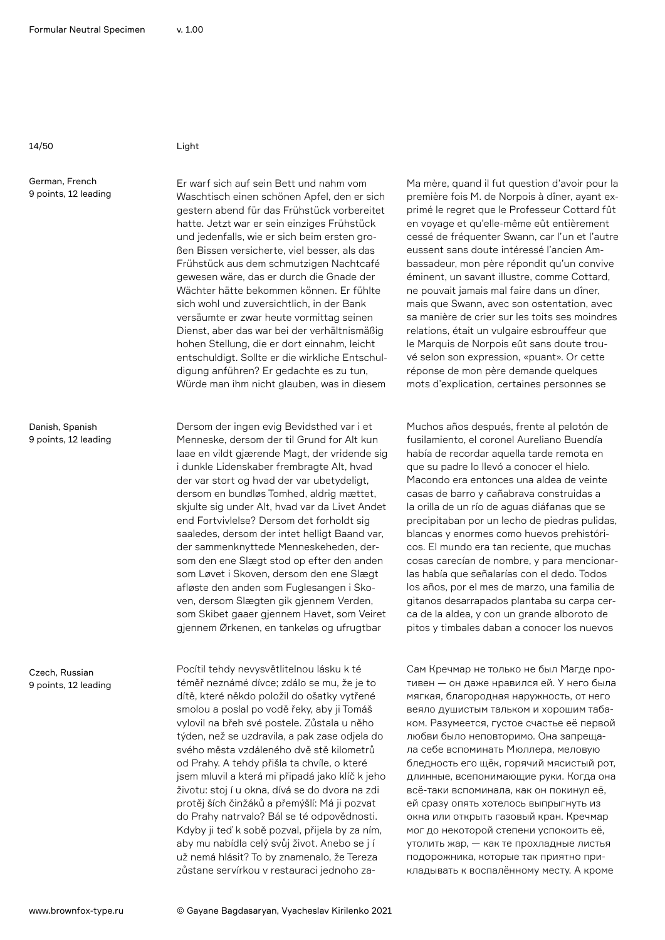14/50 Light

German, French 9 points, 12 leading

Danish, Spanish 9 points, 12 leading

Czech, Russian 9 points, 12 leading

Er warf sich auf sein Bett und nahm vom Waschtisch einen schönen Apfel, den er sich gestern abend für das Frühstück vorbereitet hatte. Jetzt war er sein einziges Frühstück und jedenfalls, wie er sich beim ersten großen Bissen versicherte, viel besser, als das Frühstück aus dem schmutzigen Nachtcafé gewesen wäre, das er durch die Gnade der Wächter hätte bekommen können. Er fühlte sich wohl und zuversichtlich, in der Bank versäumte er zwar heute vormittag seinen Dienst, aber das war bei der verhältnismäßig hohen Stellung, die er dort einnahm, leicht entschuldigt. Sollte er die wirkliche Entschuldigung anführen? Er gedachte es zu tun, Würde man ihm nicht glauben, was in diesem

Dersom der ingen evig Bevidsthed var i et Menneske, dersom der til Grund for Alt kun laae en vildt gjærende Magt, der vridende sig i dunkle Lidenskaber frembragte Alt, hvad der var stort og hvad der var ubetydeligt, dersom en bundløs Tomhed, aldrig mættet, skjulte sig under Alt, hvad var da Livet Andet end Fortvivlelse? Dersom det forholdt sig saaledes, dersom der intet helligt Baand var, der sammenknyttede Menneskeheden, dersom den ene Slægt stod op efter den anden som Løvet i Skoven, dersom den ene Slægt afløste den anden som Fuglesangen i Skoven, dersom Slægten gik gjennem Verden, som Skibet gaaer gjennem Havet, som Veiret gjennem Ørkenen, en tankeløs og ufrugtbar

Pocítil tehdy nevysvětlitelnou lásku k té téměř neznámé dívce; zdálo se mu, že je to dítě, které někdo položil do ošatky vytřené smolou a poslal po vodě řeky, aby ji Tomáš vylovil na břeh své postele. Zůstala u něho týden, než se uzdravila, a pak zase odjela do svého města vzdáleného dvě stě kilometrů od Prahy. A tehdy přišla ta chvíle, o které jsem mluvil a která mi připadá jako klíč k jeho životu: stoj í u okna, dívá se do dvora na zdi protěj ších činžáků a přemýšlí: Má ji pozvat do Prahy natrvalo? Bál se té odpovědnosti. Kdyby ji teď k sobě pozval, přijela by za ním, aby mu nabídla celý svůj život. Anebo se j í už nemá hlásit? To by znamenalo, že Tereza zůstane servírkou v restauraci jednoho zaMa mère, quand il fut question d'avoir pour la première fois M. de Norpois à dîner, ayant exprimé le regret que le Professeur Cottard fût en voyage et qu'elle-même eût entièrement cessé de fréquenter Swann, car l'un et l'autre eussent sans doute intéressé l'ancien Ambassadeur, mon père répondit qu'un convive éminent, un savant illustre, comme Cottard, ne pouvait jamais mal faire dans un dîner, mais que Swann, avec son ostentation, avec sa manière de crier sur les toits ses moindres relations, était un vulgaire esbrouffeur que le Marquis de Norpois eût sans doute trouvé selon son expression, «puant». Or cette réponse de mon père demande quelques mots d'explication, certaines personnes se

Muchos años después, frente al pelotón de fusilamiento, el coronel Aureliano Buendía había de recordar aquella tarde remota en que su padre lo llevó a conocer el hielo. Macondo era entonces una aldea de veinte casas de barro y cañabrava construidas a la orilla de un río de aguas diáfanas que se precipitaban por un lecho de piedras pulidas, blancas y enormes como huevos prehistóricos. El mundo era tan reciente, que muchas cosas carecían de nombre, y para mencionarlas había que señalarías con el dedo. Todos los años, por el mes de marzo, una familia de gitanos desarrapados plantaba su carpa cerca de la aldea, y con un grande alboroto de pitos y timbales daban a conocer los nuevos

Сам Кречмар не только не был Магде противен — он даже нравился ей. У него была мягкая, благородная наружность, от него веяло душистым тальком и хорошим табаком. Разумеется, густое счастье её первой любви было неповторимо. Она запрещала себе вспоминать Мюллера, меловую бледность его щёк, горячий мясистый рот, длинные, всепонимающие руки. Когда она всё-таки вспоминала, как он покинул её, ей сразу опять хотелось выпрыгнуть из окна или открыть газовый кран. Кречмар мог до некоторой степени успокоить её, утолить жар, — как те прохладные листья подорожника, которые так приятно прикладывать к воспалённому месту. А кроме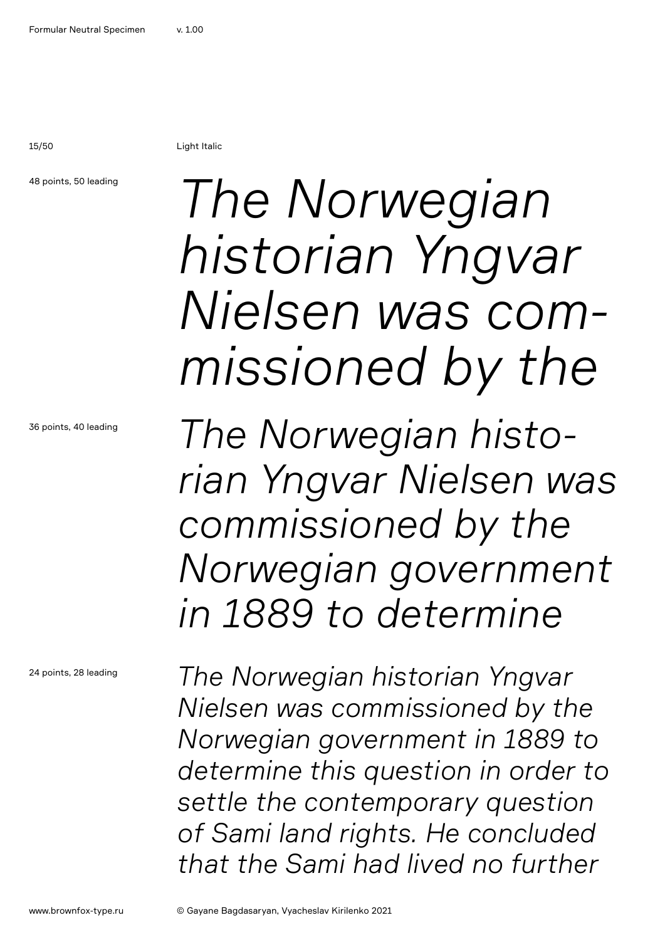15/50 Light Italic

### 48 points, 50 leading

36 points, 40 leading

24 points, 28 leading

## *The Norwegian historian Yngvar Nielsen was commissioned by the*

*The Norwegian historian Yngvar Nielsen was commissioned by the Norwegian government in 1889 to determine* 

*The Norwegian historian Yngvar Nielsen was commissioned by the Norwegian government in 1889 to determine this question in order to settle the contemporary question of Sami land rights. He concluded that the Sami had lived no further*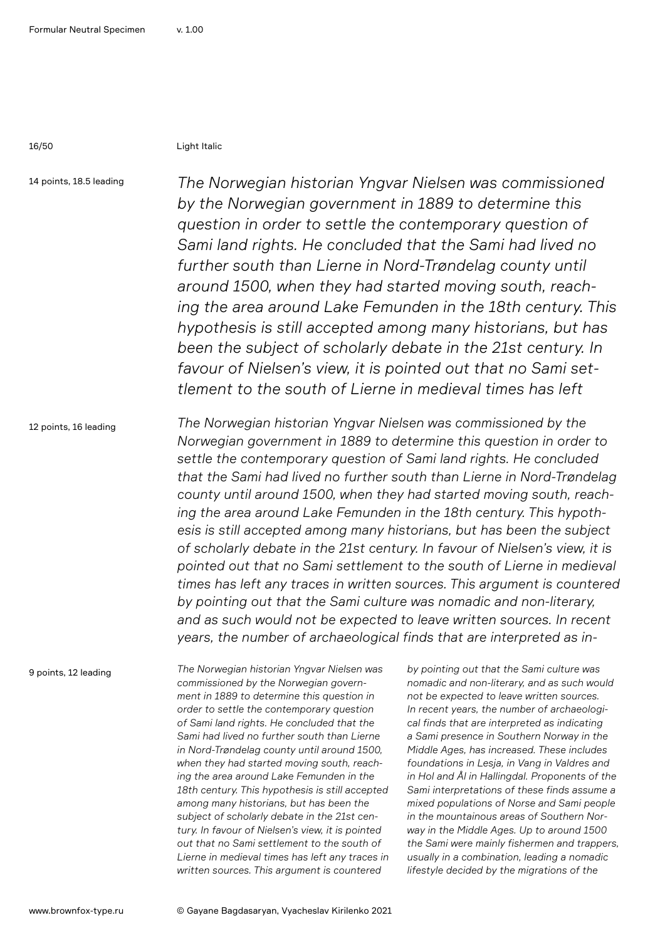16/50 Light Italic

14 points, 18.5 leading

*The Norwegian historian Yngvar Nielsen was commissioned by the Norwegian government in 1889 to determine this question in order to settle the contemporary question of Sami land rights. He concluded that the Sami had lived no further south than Lierne in Nord-Trøndelag county until around 1500, when they had started moving south, reaching the area around Lake Femunden in the 18th century. This hypothesis is still accepted among many historians, but has been the subject of scholarly debate in the 21st century. In favour of Nielsen's view, it is pointed out that no Sami settlement to the south of Lierne in medieval times has left* 

12 points, 16 leading

*The Norwegian historian Yngvar Nielsen was commissioned by the Norwegian government in 1889 to determine this question in order to settle the contemporary question of Sami land rights. He concluded that the Sami had lived no further south than Lierne in Nord-Trøndelag county until around 1500, when they had started moving south, reaching the area around Lake Femunden in the 18th century. This hypothesis is still accepted among many historians, but has been the subject of scholarly debate in the 21st century. In favour of Nielsen's view, it is pointed out that no Sami settlement to the south of Lierne in medieval times has left any traces in written sources. This argument is countered by pointing out that the Sami culture was nomadic and non-literary, and as such would not be expected to leave written sources. In recent years, the number of archaeological finds that are interpreted as in-*

9 points, 12 leading

*The Norwegian historian Yngvar Nielsen was commissioned by the Norwegian government in 1889 to determine this question in order to settle the contemporary question of Sami land rights. He concluded that the Sami had lived no further south than Lierne in Nord-Trøndelag county until around 1500, when they had started moving south, reaching the area around Lake Femunden in the 18th century. This hypothesis is still accepted among many historians, but has been the subject of scholarly debate in the 21st century. In favour of Nielsen's view, it is pointed out that no Sami settlement to the south of Lierne in medieval times has left any traces in written sources. This argument is countered* 

*by pointing out that the Sami culture was nomadic and non-literary, and as such would not be expected to leave written sources. In recent years, the number of archaeological finds that are interpreted as indicating a Sami presence in Southern Norway in the Middle Ages, has increased. These includes foundations in Lesja, in Vang in Valdres and in Hol and Ål in Hallingdal. Proponents of the Sami interpretations of these finds assume a mixed populations of Norse and Sami people in the mountainous areas of Southern Norway in the Middle Ages. Up to around 1500 the Sami were mainly fishermen and trappers, usually in a combination, leading a nomadic lifestyle decided by the migrations of the*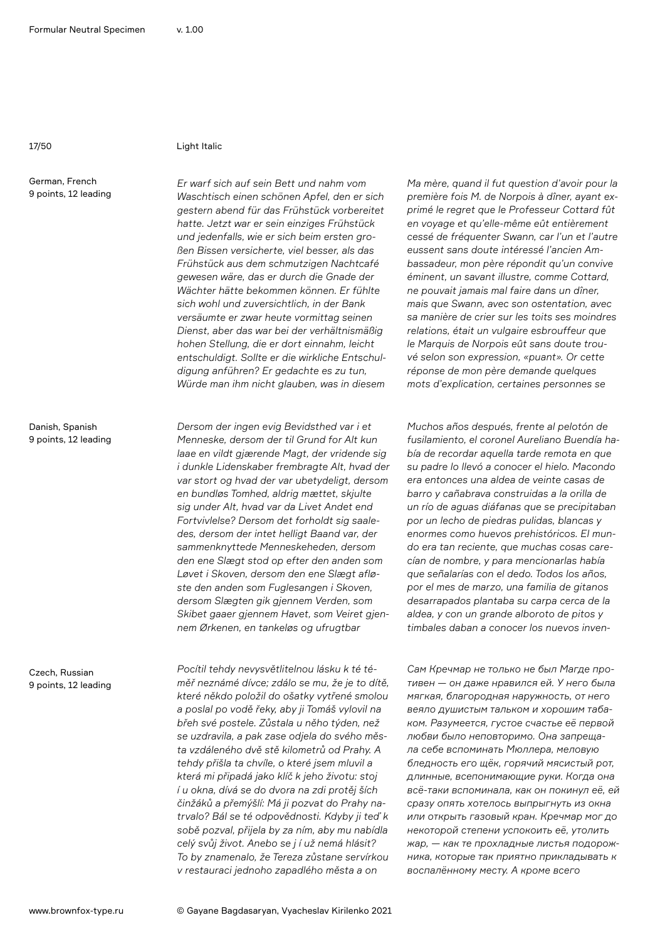#### 17/50 Light Italic

German, French 9 points, 12 leading

Danish, Spanish 9 points, 12 leading

Czech, Russian 9 points, 12 leading

*Er warf sich auf sein Bett und nahm vom Waschtisch einen schönen Apfel, den er sich gestern abend für das Frühstück vorbereitet hatte. Jetzt war er sein einziges Frühstück und jedenfalls, wie er sich beim ersten großen Bissen versicherte, viel besser, als das Frühstück aus dem schmutzigen Nachtcafé gewesen wäre, das er durch die Gnade der Wächter hätte bekommen können. Er fühlte sich wohl und zuversichtlich, in der Bank versäumte er zwar heute vormittag seinen Dienst, aber das war bei der verhältnismäßig hohen Stellung, die er dort einnahm, leicht entschuldigt. Sollte er die wirkliche Entschuldigung anführen? Er gedachte es zu tun, Würde man ihm nicht glauben, was in diesem* 

*Dersom der ingen evig Bevidsthed var i et Menneske, dersom der til Grund for Alt kun laae en vildt gjærende Magt, der vridende sig i dunkle Lidenskaber frembragte Alt, hvad der var stort og hvad der var ubetydeligt, dersom en bundløs Tomhed, aldrig mættet, skjulte sig under Alt, hvad var da Livet Andet end Fortvivlelse? Dersom det forholdt sig saaledes, dersom der intet helligt Baand var, der sammenknyttede Menneskeheden, dersom den ene Slægt stod op efter den anden som Løvet i Skoven, dersom den ene Slægt afløste den anden som Fuglesangen i Skoven, dersom Slægten gik gjennem Verden, som Skibet gaaer gjennem Havet, som Veiret gjennem Ørkenen, en tankeløs og ufrugtbar*

*Pocítil tehdy nevysvětlitelnou lásku k té téměř neznámé dívce; zdálo se mu, že je to dítě, které někdo položil do ošatky vytřené smolou a poslal po vodě řeky, aby ji Tomáš vylovil na břeh své postele. Zůstala u něho týden, než se uzdravila, a pak zase odjela do svého města vzdáleného dvě stě kilometrů od Prahy. A tehdy přišla ta chvíle, o které jsem mluvil a která mi připadá jako klíč k jeho životu: stoj í u okna, dívá se do dvora na zdi protěj ších činžáků a přemýšlí: Má ji pozvat do Prahy natrvalo? Bál se té odpovědnosti. Kdyby ji teď k sobě pozval, přijela by za ním, aby mu nabídla celý svůj život. Anebo se j í už nemá hlásit? To by znamenalo, že Tereza zůstane servírkou v restauraci jednoho zapadlého města a on* 

*Ma mère, quand il fut question d'avoir pour la première fois M. de Norpois à dîner, ayant exprimé le regret que le Professeur Cottard fût en voyage et qu'elle-même eût entièrement cessé de fréquenter Swann, car l'un et l'autre eussent sans doute intéressé l'ancien Ambassadeur, mon père répondit qu'un convive éminent, un savant illustre, comme Cottard, ne pouvait jamais mal faire dans un dîner, mais que Swann, avec son ostentation, avec sa manière de crier sur les toits ses moindres relations, était un vulgaire esbrouffeur que le Marquis de Norpois eût sans doute trouvé selon son expression, «puant». Or cette réponse de mon père demande quelques mots d'explication, certaines personnes se* 

*Muchos años después, frente al pelotón de fusilamiento, el coronel Aureliano Buendía había de recordar aquella tarde remota en que su padre lo llevó a conocer el hielo. Macondo era entonces una aldea de veinte casas de barro y cañabrava construidas a la orilla de un río de aguas diáfanas que se precipitaban por un lecho de piedras pulidas, blancas y enormes como huevos prehistóricos. El mundo era tan reciente, que muchas cosas carecían de nombre, y para mencionarlas había que señalarías con el dedo. Todos los años, por el mes de marzo, una familia de gitanos desarrapados plantaba su carpa cerca de la aldea, y con un grande alboroto de pitos y timbales daban a conocer los nuevos inven-*

*Сам Кречмар не только не был Магде противен — он даже нравился ей. У него была мягкая, благородная наружность, от него веяло душистым тальком и хорошим табаком. Разумеется, густое счастье её первой любви было неповторимо. Она запрещала себе вспоминать Мюллера, меловую бледность его щёк, горячий мясистый рот, длинные, всепонимающие руки. Когда она всё-таки вспоминала, как он покинул её, ей сразу опять хотелось выпрыгнуть из окна или открыть газовый кран. Кречмар мог до некоторой степени успокоить её, утолить жар, — как те прохладные листья подорожника, которые так приятно прикладывать к воспалённому месту. А кроме всего*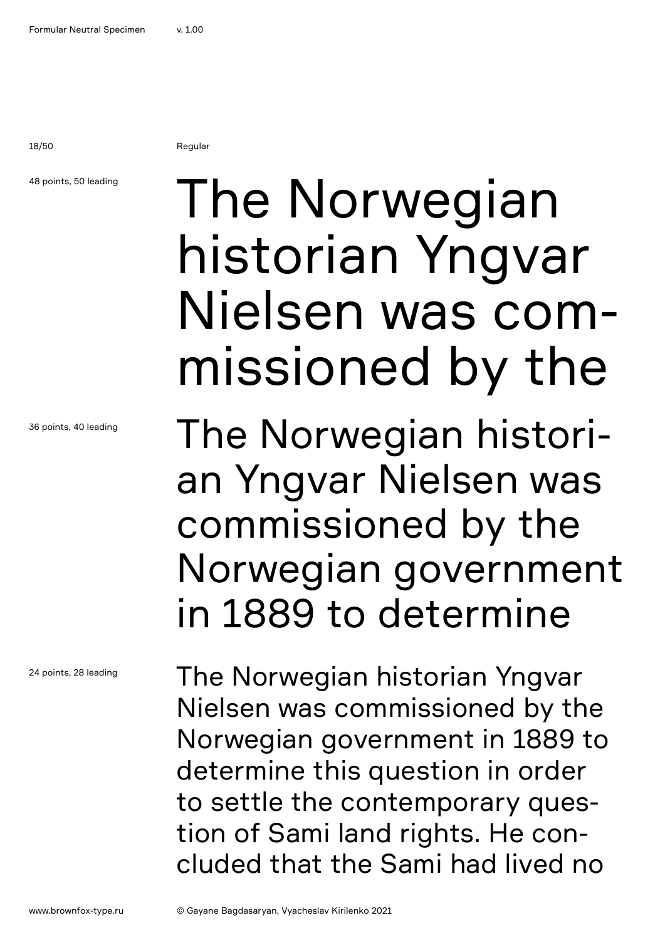18/50 Regular

### 48 points, 50 leading

36 points, 40 leading

24 points, 28 leading

## The Norwegian historian Yngvar Nielsen was commissioned by the

The Norwegian historian Yngvar Nielsen was commissioned by the Norwegian government in 1889 to determine

The Norwegian historian Yngvar Nielsen was commissioned by the Norwegian government in 1889 to determine this question in order to settle the contemporary question of Sami land rights. He concluded that the Sami had lived no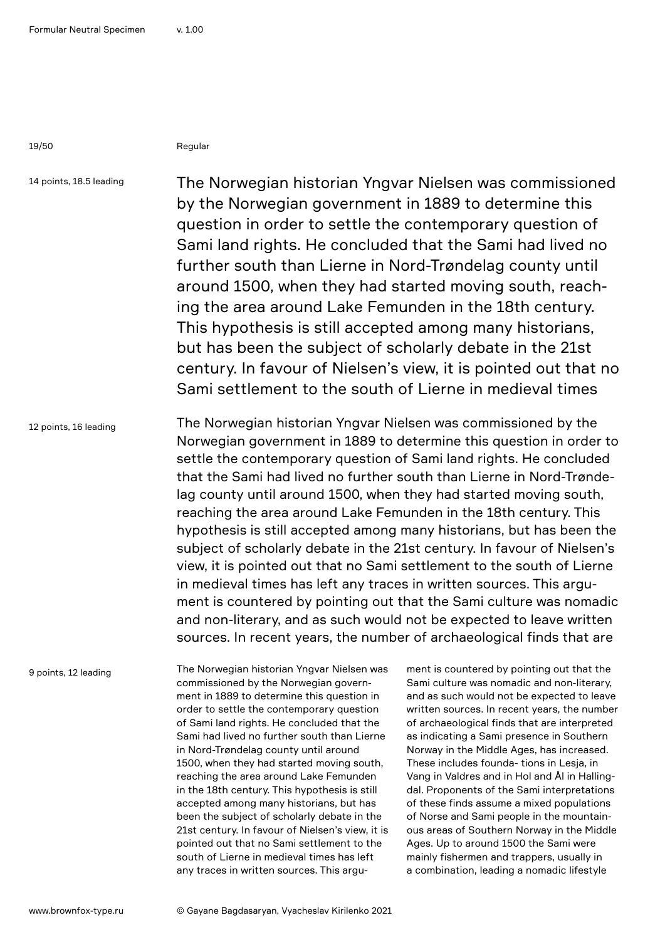19/50 Regular

14 points, 18.5 leading

The Norwegian historian Yngvar Nielsen was commissioned by the Norwegian government in 1889 to determine this question in order to settle the contemporary question of Sami land rights. He concluded that the Sami had lived no further south than Lierne in Nord-Trøndelag county until around 1500, when they had started moving south, reaching the area around Lake Femunden in the 18th century. This hypothesis is still accepted among many historians, but has been the subject of scholarly debate in the 21st century. In favour of Nielsen's view, it is pointed out that no Sami settlement to the south of Lierne in medieval times

12 points, 16 leading The Norwegian historian Yngvar Nielsen was commissioned by the Norwegian government in 1889 to determine this question in order to settle the contemporary question of Sami land rights. He concluded that the Sami had lived no further south than Lierne in Nord-Trøndelag county until around 1500, when they had started moving south, reaching the area around Lake Femunden in the 18th century. This hypothesis is still accepted among many historians, but has been the subject of scholarly debate in the 21st century. In favour of Nielsen's view, it is pointed out that no Sami settlement to the south of Lierne in medieval times has left any traces in written sources. This argument is countered by pointing out that the Sami culture was nomadic and non-literary, and as such would not be expected to leave written sources. In recent years, the number of archaeological finds that are

9 points, 12 leading

The Norwegian historian Yngvar Nielsen was commissioned by the Norwegian government in 1889 to determine this question in order to settle the contemporary question of Sami land rights. He concluded that the Sami had lived no further south than Lierne in Nord-Trøndelag county until around 1500, when they had started moving south, reaching the area around Lake Femunden in the 18th century. This hypothesis is still accepted among many historians, but has been the subject of scholarly debate in the 21st century. In favour of Nielsen's view, it is pointed out that no Sami settlement to the south of Lierne in medieval times has left any traces in written sources. This argu-

ment is countered by pointing out that the Sami culture was nomadic and non-literary, and as such would not be expected to leave written sources. In recent years, the number of archaeological finds that are interpreted as indicating a Sami presence in Southern Norway in the Middle Ages, has increased. These includes founda- tions in Lesja, in Vang in Valdres and in Hol and Ål in Hallingdal. Proponents of the Sami interpretations of these finds assume a mixed populations of Norse and Sami people in the mountainous areas of Southern Norway in the Middle Ages. Up to around 1500 the Sami were mainly fishermen and trappers, usually in a combination, leading a nomadic lifestyle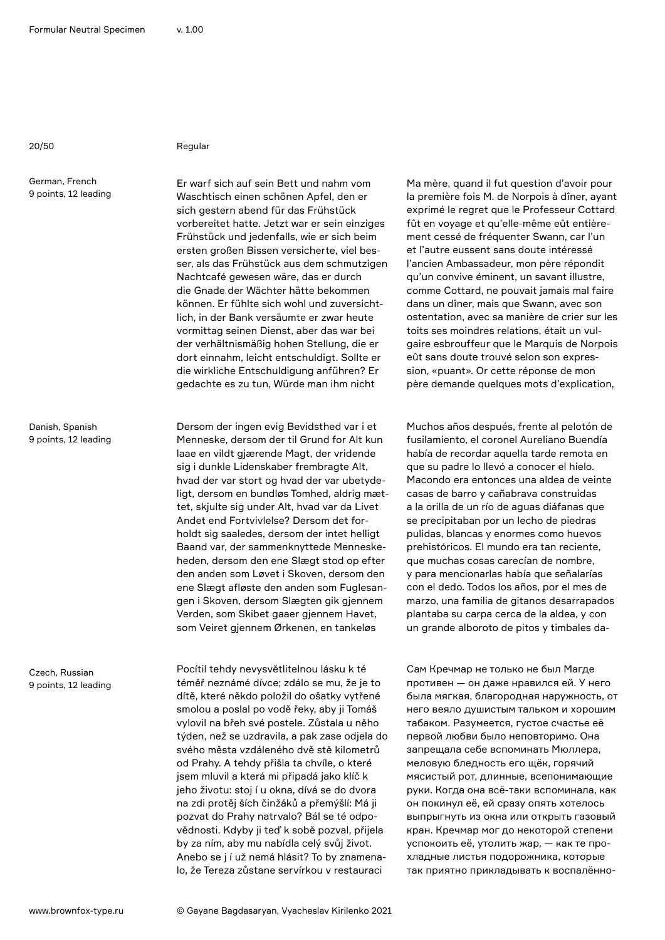### 20/50 Regular

German, French 9 points, 12 leading

Danish, Spanish 9 points, 12 leading

Czech, Russian 9 points, 12 leading

Er warf sich auf sein Bett und nahm vom Waschtisch einen schönen Apfel, den er sich gestern abend für das Frühstück vorbereitet hatte. Jetzt war er sein einziges Frühstück und jedenfalls, wie er sich beim ersten großen Bissen versicherte, viel besser, als das Frühstück aus dem schmutzigen Nachtcafé gewesen wäre, das er durch die Gnade der Wächter hätte bekommen können. Er fühlte sich wohl und zuversichtlich, in der Bank versäumte er zwar heute vormittag seinen Dienst, aber das war bei der verhältnismäßig hohen Stellung, die er dort einnahm, leicht entschuldigt. Sollte er die wirkliche Entschuldigung anführen? Er gedachte es zu tun, Würde man ihm nicht

Dersom der ingen evig Bevidsthed var i et Menneske, dersom der til Grund for Alt kun laae en vildt gjærende Magt, der vridende sig i dunkle Lidenskaber frembragte Alt, hvad der var stort og hvad der var ubetydeligt, dersom en bundløs Tomhed, aldrig mættet, skjulte sig under Alt, hvad var da Livet Andet end Fortvivlelse? Dersom det forholdt sig saaledes, dersom der intet helligt Baand var, der sammenknyttede Menneskeheden, dersom den ene Slægt stod op efter den anden som Løvet i Skoven, dersom den ene Slægt afløste den anden som Fuglesangen i Skoven, dersom Slægten gik gjennem Verden, som Skibet gaaer gjennem Havet, som Veiret gjennem Ørkenen, en tankeløs

Pocítil tehdy nevysvětlitelnou lásku k té téměř neznámé dívce; zdálo se mu, že je to dítě, které někdo položil do ošatky vytřené smolou a poslal po vodě řeky, aby ji Tomáš vylovil na břeh své postele. Zůstala u něho týden, než se uzdravila, a pak zase odjela do svého města vzdáleného dvě stě kilometrů od Prahy. A tehdy přišla ta chvíle, o které jsem mluvil a která mi připadá jako klíč k jeho životu: stoj í u okna, dívá se do dvora na zdi protěj ších činžáků a přemýšlí: Má ji pozvat do Prahy natrvalo? Bál se té odpovědnosti. Kdyby ji teď k sobě pozval, přijela by za ním, aby mu nabídla celý svůj život. Anebo se j í už nemá hlásit? To by znamenalo, že Tereza zůstane servírkou v restauraci

Ma mère, quand il fut question d'avoir pour la première fois M. de Norpois à dîner, ayant exprimé le regret que le Professeur Cottard fût en voyage et qu'elle-même eût entièrement cessé de fréquenter Swann, car l'un et l'autre eussent sans doute intéressé l'ancien Ambassadeur, mon père répondit qu'un convive éminent, un savant illustre, comme Cottard, ne pouvait jamais mal faire dans un dîner, mais que Swann, avec son ostentation, avec sa manière de crier sur les toits ses moindres relations, était un vulgaire esbrouffeur que le Marquis de Norpois eût sans doute trouvé selon son expression, «puant». Or cette réponse de mon père demande quelques mots d'explication,

Muchos años después, frente al pelotón de fusilamiento, el coronel Aureliano Buendía había de recordar aquella tarde remota en que su padre lo llevó a conocer el hielo. Macondo era entonces una aldea de veinte casas de barro y cañabrava construidas a la orilla de un río de aguas diáfanas que se precipitaban por un lecho de piedras pulidas, blancas y enormes como huevos prehistóricos. El mundo era tan reciente, que muchas cosas carecían de nombre, y para mencionarlas había que señalarías con el dedo. Todos los años, por el mes de marzo, una familia de gitanos desarrapados plantaba su carpa cerca de la aldea, y con un grande alboroto de pitos y timbales da-

Сам Кречмар не только не был Магде противен — он даже нравился ей. У него была мягкая, благородная наружность, от него веяло душистым тальком и хорошим табаком. Разумеется, густое счастье её первой любви было неповторимо. Она запрещала себе вспоминать Мюллера, меловую бледность его щёк, горячий мясистый рот, длинные, всепонимающие руки. Когда она всё-таки вспоминала, как он покинул её, ей сразу опять хотелось выпрыгнуть из окна или открыть газовый кран. Кречмар мог до некоторой степени успокоить её, утолить жар, — как те прохладные листья подорожника, которые так приятно прикладывать к воспалённо-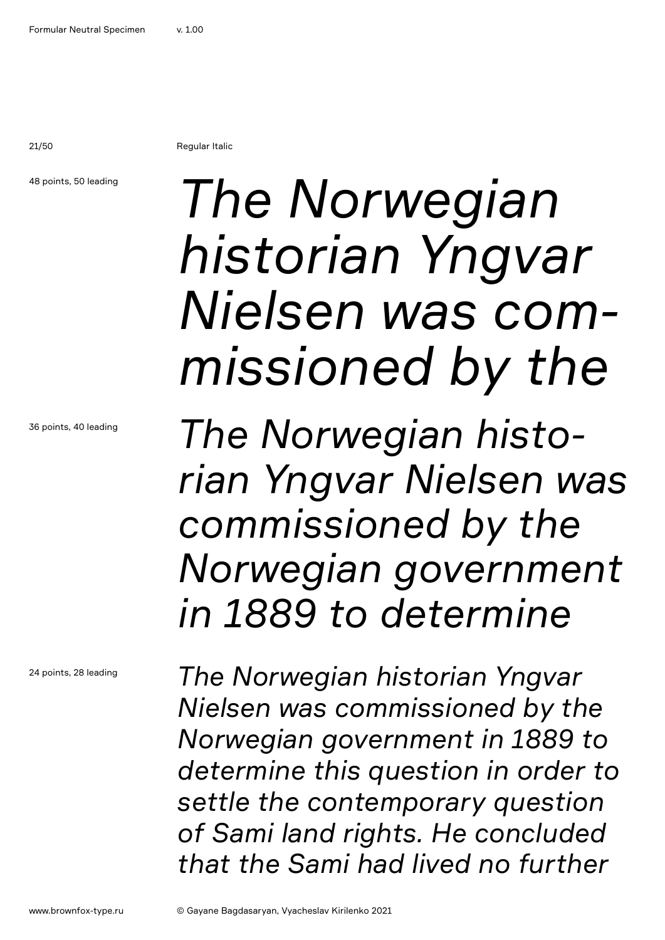21/50 Regular Italic

48 points, 50 leading

## *The Norwegian historian Yngvar Nielsen was commissioned by the*

*The Norwegian historian Yngvar Nielsen was commissioned by the Norwegian government in 1889 to determine* 

*The Norwegian historian Yngvar Nielsen was commissioned by the Norwegian government in 1889 to determine this question in order to settle the contemporary question of Sami land rights. He concluded that the Sami had lived no further*

36 points, 40 leading

24 points, 28 leading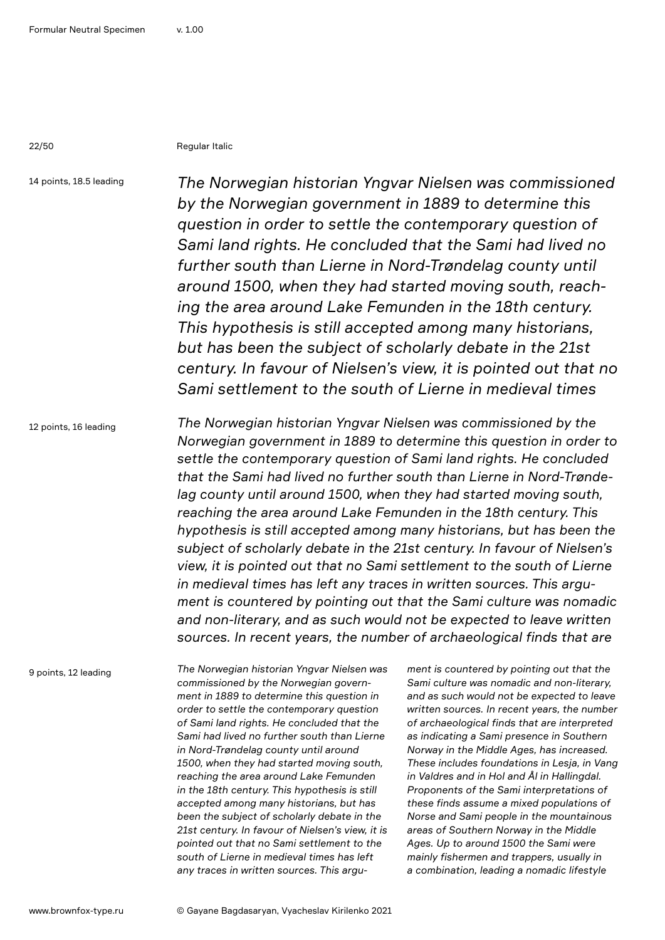22/50 Regular Italic

14 points, 18.5 leading

*The Norwegian historian Yngvar Nielsen was commissioned by the Norwegian government in 1889 to determine this question in order to settle the contemporary question of Sami land rights. He concluded that the Sami had lived no further south than Lierne in Nord-Trøndelag county until around 1500, when they had started moving south, reaching the area around Lake Femunden in the 18th century. This hypothesis is still accepted among many historians, but has been the subject of scholarly debate in the 21st century. In favour of Nielsen's view, it is pointed out that no Sami settlement to the south of Lierne in medieval times* 

12 points, 16 leading

*The Norwegian historian Yngvar Nielsen was commissioned by the Norwegian government in 1889 to determine this question in order to settle the contemporary question of Sami land rights. He concluded that the Sami had lived no further south than Lierne in Nord-Trøndelag county until around 1500, when they had started moving south, reaching the area around Lake Femunden in the 18th century. This hypothesis is still accepted among many historians, but has been the subject of scholarly debate in the 21st century. In favour of Nielsen's view, it is pointed out that no Sami settlement to the south of Lierne in medieval times has left any traces in written sources. This argument is countered by pointing out that the Sami culture was nomadic and non-literary, and as such would not be expected to leave written sources. In recent years, the number of archaeological finds that are* 

9 points, 12 leading

*The Norwegian historian Yngvar Nielsen was commissioned by the Norwegian government in 1889 to determine this question in order to settle the contemporary question of Sami land rights. He concluded that the Sami had lived no further south than Lierne in Nord-Trøndelag county until around 1500, when they had started moving south, reaching the area around Lake Femunden in the 18th century. This hypothesis is still accepted among many historians, but has been the subject of scholarly debate in the 21st century. In favour of Nielsen's view, it is pointed out that no Sami settlement to the south of Lierne in medieval times has left any traces in written sources. This argu-*

*ment is countered by pointing out that the Sami culture was nomadic and non-literary, and as such would not be expected to leave written sources. In recent years, the number of archaeological finds that are interpreted as indicating a Sami presence in Southern Norway in the Middle Ages, has increased. These includes foundations in Lesja, in Vang in Valdres and in Hol and Ål in Hallingdal. Proponents of the Sami interpretations of these finds assume a mixed populations of Norse and Sami people in the mountainous areas of Southern Norway in the Middle Ages. Up to around 1500 the Sami were mainly fishermen and trappers, usually in a combination, leading a nomadic lifestyle*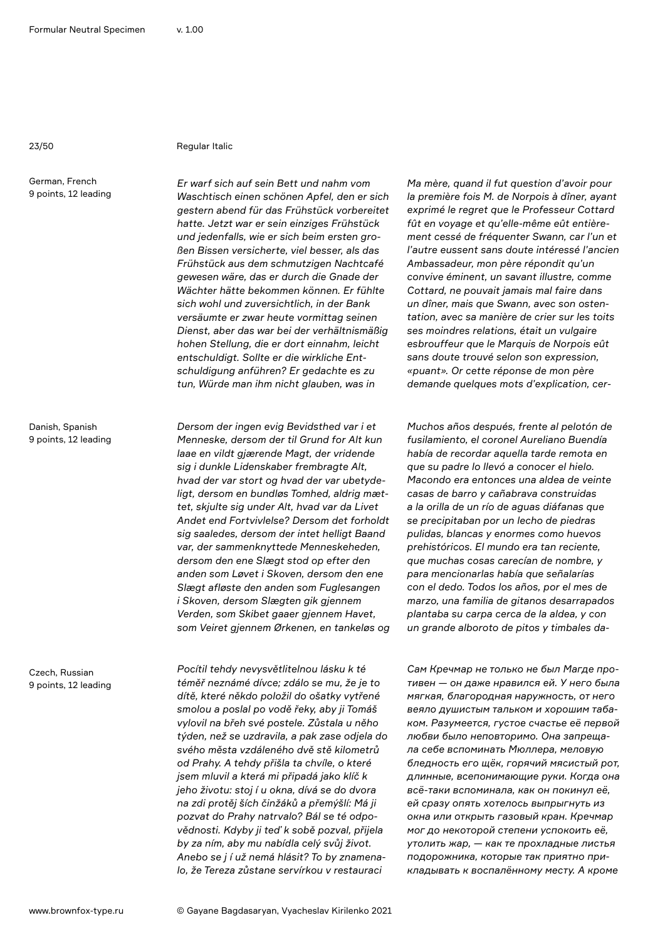#### 23/50 Regular Italic

German, French 9 points, 12 leading

Danish, Spanish 9 points, 12 leading

Czech, Russian 9 points, 12 leading

*Er warf sich auf sein Bett und nahm vom Waschtisch einen schönen Apfel, den er sich gestern abend für das Frühstück vorbereitet hatte. Jetzt war er sein einziges Frühstück und jedenfalls, wie er sich beim ersten großen Bissen versicherte, viel besser, als das Frühstück aus dem schmutzigen Nachtcafé gewesen wäre, das er durch die Gnade der Wächter hätte bekommen können. Er fühlte sich wohl und zuversichtlich, in der Bank versäumte er zwar heute vormittag seinen Dienst, aber das war bei der verhältnismäßig hohen Stellung, die er dort einnahm, leicht entschuldigt. Sollte er die wirkliche Entschuldigung anführen? Er gedachte es zu tun, Würde man ihm nicht glauben, was in* 

*Dersom der ingen evig Bevidsthed var i et Menneske, dersom der til Grund for Alt kun laae en vildt gjærende Magt, der vridende sig i dunkle Lidenskaber frembragte Alt, hvad der var stort og hvad der var ubetydeligt, dersom en bundløs Tomhed, aldrig mættet, skjulte sig under Alt, hvad var da Livet Andet end Fortvivlelse? Dersom det forholdt sig saaledes, dersom der intet helligt Baand var, der sammenknyttede Menneskeheden, dersom den ene Slægt stod op efter den anden som Løvet i Skoven, dersom den ene Slægt afløste den anden som Fuglesangen i Skoven, dersom Slægten gik gjennem Verden, som Skibet gaaer gjennem Havet, som Veiret gjennem Ørkenen, en tankeløs og* 

*Pocítil tehdy nevysvětlitelnou lásku k té téměř neznámé dívce; zdálo se mu, že je to dítě, které někdo položil do ošatky vytřené smolou a poslal po vodě řeky, aby ji Tomáš vylovil na břeh své postele. Zůstala u něho týden, než se uzdravila, a pak zase odjela do svého města vzdáleného dvě stě kilometrů od Prahy. A tehdy přišla ta chvíle, o které jsem mluvil a která mi připadá jako klíč k jeho životu: stoj í u okna, dívá se do dvora na zdi protěj ších činžáků a přemýšlí: Má ji pozvat do Prahy natrvalo? Bál se té odpovědnosti. Kdyby ji teď k sobě pozval, přijela by za ním, aby mu nabídla celý svůj život. Anebo se j í už nemá hlásit? To by znamenalo, že Tereza zůstane servírkou v restauraci* 

*Ma mère, quand il fut question d'avoir pour la première fois M. de Norpois à dîner, ayant exprimé le regret que le Professeur Cottard fût en voyage et qu'elle-même eût entièrement cessé de fréquenter Swann, car l'un et l'autre eussent sans doute intéressé l'ancien Ambassadeur, mon père répondit qu'un convive éminent, un savant illustre, comme Cottard, ne pouvait jamais mal faire dans un dîner, mais que Swann, avec son ostentation, avec sa manière de crier sur les toits ses moindres relations, était un vulgaire esbrouffeur que le Marquis de Norpois eût sans doute trouvé selon son expression, «puant». Or cette réponse de mon père demande quelques mots d'explication, cer-*

*Muchos años después, frente al pelotón de fusilamiento, el coronel Aureliano Buendía había de recordar aquella tarde remota en que su padre lo llevó a conocer el hielo. Macondo era entonces una aldea de veinte casas de barro y cañabrava construidas a la orilla de un río de aguas diáfanas que se precipitaban por un lecho de piedras pulidas, blancas y enormes como huevos prehistóricos. El mundo era tan reciente, que muchas cosas carecían de nombre, y para mencionarlas había que señalarías con el dedo. Todos los años, por el mes de marzo, una familia de gitanos desarrapados plantaba su carpa cerca de la aldea, y con un grande alboroto de pitos y timbales da-*

*Сам Кречмар не только не был Магде противен — он даже нравился ей. У него была мягкая, благородная наружность, от него веяло душистым тальком и хорошим табаком. Разумеется, густое счастье её первой любви было неповторимо. Она запрещала себе вспоминать Мюллера, меловую бледность его щёк, горячий мясистый рот, длинные, всепонимающие руки. Когда она всё-таки вспоминала, как он покинул её, ей сразу опять хотелось выпрыгнуть из окна или открыть газовый кран. Кречмар мог до некоторой степени успокоить её, утолить жар, — как те прохладные листья подорожника, которые так приятно прикладывать к воспалённому месту. А кроме*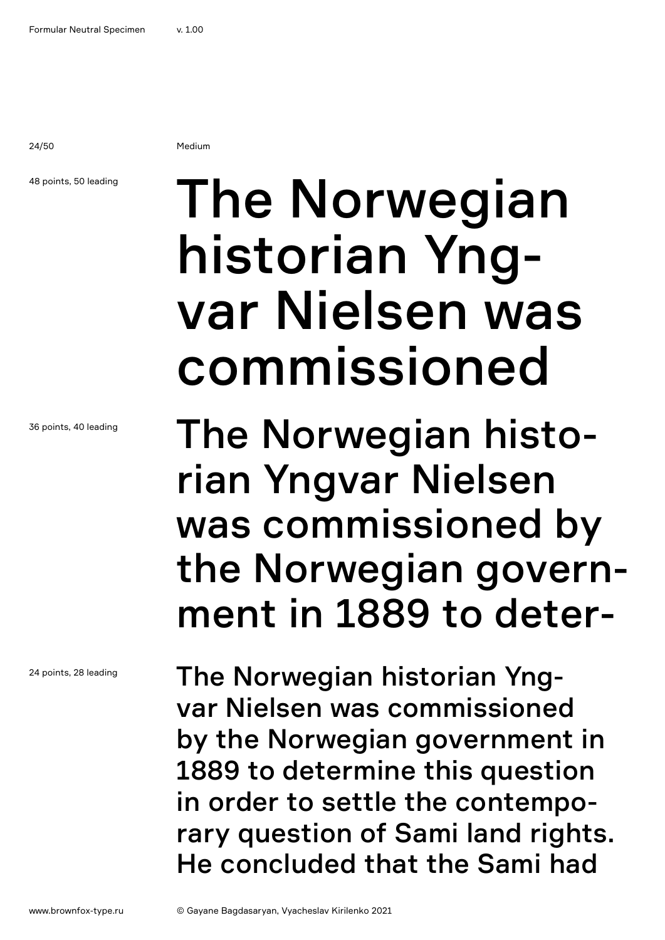24/50 Medium

### 48 points, 50 leading

36 points, 40 leading

24 points, 28 leading

## The Norwegian historian Yngvar Nielsen was commissioned

The Norwegian historian Yngvar Nielsen was commissioned by the Norwegian government in 1889 to deter-

The Norwegian historian Yngvar Nielsen was commissioned by the Norwegian government in 1889 to determine this question in order to settle the contemporary question of Sami land rights. He concluded that the Sami had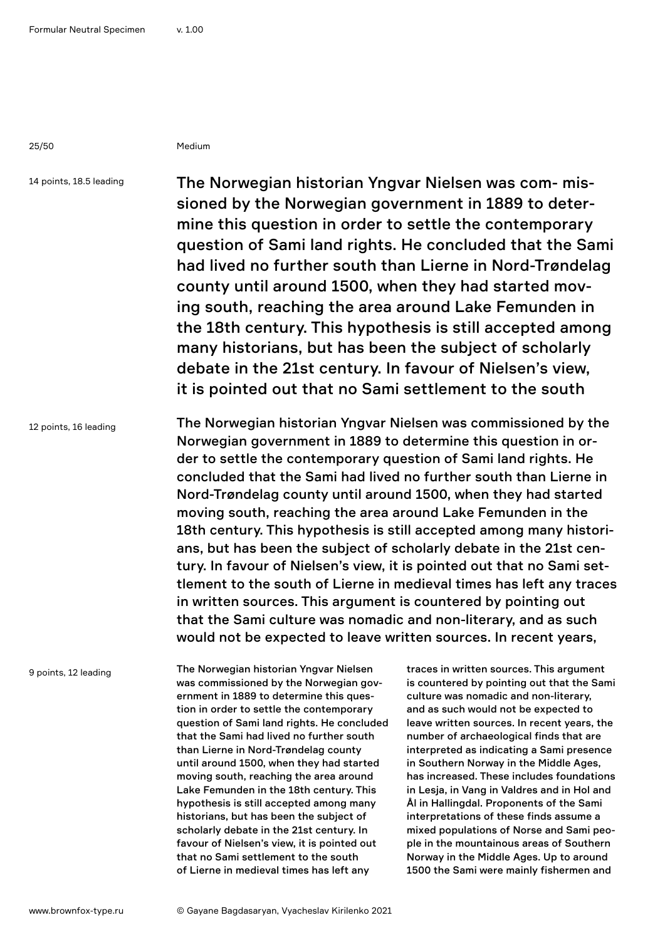25/50 Medium

14 points, 18.5 leading

The Norwegian historian Yngvar Nielsen was com- missioned by the Norwegian government in 1889 to determine this question in order to settle the contemporary question of Sami land rights. He concluded that the Sami had lived no further south than Lierne in Nord-Trøndelag county until around 1500, when they had started moving south, reaching the area around Lake Femunden in the 18th century. This hypothesis is still accepted among many historians, but has been the subject of scholarly debate in the 21st century. In favour of Nielsen's view, it is pointed out that no Sami settlement to the south

12 points, 16 leading

The Norwegian historian Yngvar Nielsen was commissioned by the Norwegian government in 1889 to determine this question in order to settle the contemporary question of Sami land rights. He concluded that the Sami had lived no further south than Lierne in Nord-Trøndelag county until around 1500, when they had started moving south, reaching the area around Lake Femunden in the 18th century. This hypothesis is still accepted among many historians, but has been the subject of scholarly debate in the 21st century. In favour of Nielsen's view, it is pointed out that no Sami settlement to the south of Lierne in medieval times has left any traces in written sources. This argument is countered by pointing out that the Sami culture was nomadic and non-literary, and as such would not be expected to leave written sources. In recent years,

9 points, 12 leading

The Norwegian historian Yngvar Nielsen was commissioned by the Norwegian government in 1889 to determine this question in order to settle the contemporary question of Sami land rights. He concluded that the Sami had lived no further south than Lierne in Nord-Trøndelag county until around 1500, when they had started moving south, reaching the area around Lake Femunden in the 18th century. This hypothesis is still accepted among many historians, but has been the subject of scholarly debate in the 21st century. In favour of Nielsen's view, it is pointed out that no Sami settlement to the south of Lierne in medieval times has left any

traces in written sources. This argument is countered by pointing out that the Sami culture was nomadic and non-literary, and as such would not be expected to leave written sources. In recent years, the number of archaeological finds that are interpreted as indicating a Sami presence in Southern Norway in the Middle Ages, has increased. These includes foundations in Lesja, in Vang in Valdres and in Hol and Ål in Hallingdal. Proponents of the Sami interpretations of these finds assume a mixed populations of Norse and Sami people in the mountainous areas of Southern Norway in the Middle Ages. Up to around 1500 the Sami were mainly fishermen and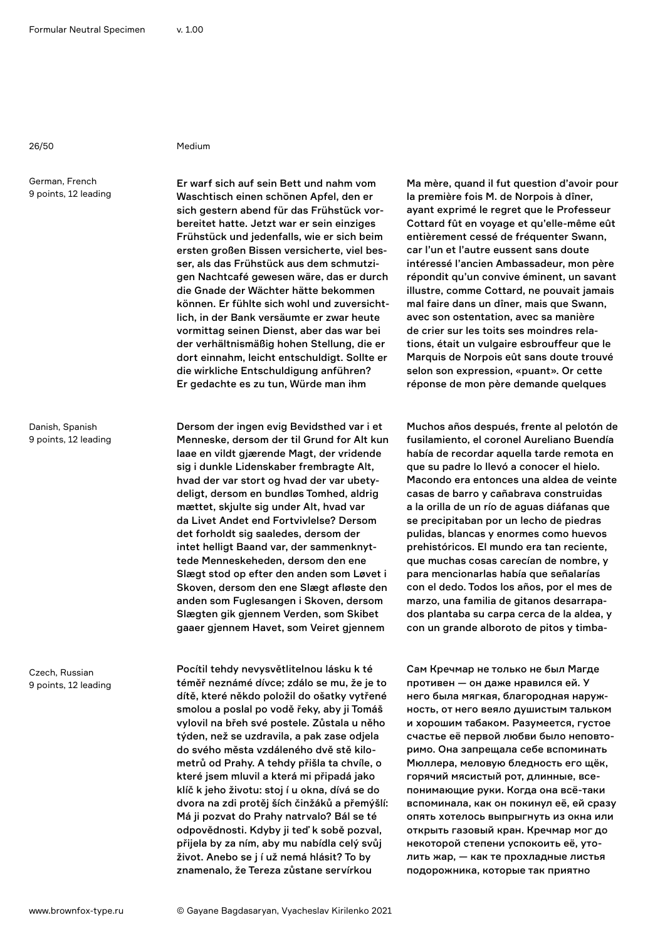### 26/50 Medium

German, French 9 points, 12 leading

Danish, Spanish 9 points, 12 leading

Czech, Russian 9 points, 12 leading

Er warf sich auf sein Bett und nahm vom Waschtisch einen schönen Apfel, den er sich gestern abend für das Frühstück vorbereitet hatte. Jetzt war er sein einziges Frühstück und jedenfalls, wie er sich beim ersten großen Bissen versicherte, viel besser, als das Frühstück aus dem schmutzigen Nachtcafé gewesen wäre, das er durch die Gnade der Wächter hätte bekommen können. Er fühlte sich wohl und zuversichtlich, in der Bank versäumte er zwar heute vormittag seinen Dienst, aber das war bei der verhältnismäßig hohen Stellung, die er dort einnahm, leicht entschuldigt. Sollte er die wirkliche Entschuldigung anführen? Er gedachte es zu tun, Würde man ihm

Dersom der ingen evig Bevidsthed var i et Menneske, dersom der til Grund for Alt kun laae en vildt gjærende Magt, der vridende sig i dunkle Lidenskaber frembragte Alt, hvad der var stort og hvad der var ubetydeligt, dersom en bundløs Tomhed, aldrig mættet, skjulte sig under Alt, hvad var da Livet Andet end Fortvivlelse? Dersom det forholdt sig saaledes, dersom der intet helligt Baand var, der sammenknyttede Menneskeheden, dersom den ene Slægt stod op efter den anden som Løvet i Skoven, dersom den ene Slægt afløste den anden som Fuglesangen i Skoven, dersom Slægten gik gjennem Verden, som Skibet gaaer gjennem Havet, som Veiret gjennem

Pocítil tehdy nevysvětlitelnou lásku k té téměř neznámé dívce; zdálo se mu, že je to dítě, které někdo položil do ošatky vytřené smolou a poslal po vodě řeky, aby ji Tomáš vylovil na břeh své postele. Zůstala u něho týden, než se uzdravila, a pak zase odjela do svého města vzdáleného dvě stě kilometrů od Prahy. A tehdy přišla ta chvíle, o které jsem mluvil a která mi připadá jako klíč k jeho životu: stoj í u okna, dívá se do dvora na zdi protěj ších činžáků a přemýšlí: Má ji pozvat do Prahy natrvalo? Bál se té odpovědnosti. Kdyby ji teď k sobě pozval, přijela by za ním, aby mu nabídla celý svůj život. Anebo se j í už nemá hlásit? To by znamenalo, že Tereza zůstane servírkou

Ma mère, quand il fut question d'avoir pour la première fois M. de Norpois à dîner, ayant exprimé le regret que le Professeur Cottard fût en voyage et qu'elle-même eût entièrement cessé de fréquenter Swann, car l'un et l'autre eussent sans doute intéressé l'ancien Ambassadeur, mon père répondit qu'un convive éminent, un savant illustre, comme Cottard, ne pouvait jamais mal faire dans un dîner, mais que Swann, avec son ostentation, avec sa manière de crier sur les toits ses moindres relations, était un vulgaire esbrouffeur que le Marquis de Norpois eût sans doute trouvé selon son expression, «puant». Or cette réponse de mon père demande quelques

Muchos años después, frente al pelotón de fusilamiento, el coronel Aureliano Buendía había de recordar aquella tarde remota en que su padre lo llevó a conocer el hielo. Macondo era entonces una aldea de veinte casas de barro y cañabrava construidas a la orilla de un río de aguas diáfanas que se precipitaban por un lecho de piedras pulidas, blancas y enormes como huevos prehistóricos. El mundo era tan reciente, que muchas cosas carecían de nombre, y para mencionarlas había que señalarías con el dedo. Todos los años, por el mes de marzo, una familia de gitanos desarrapados plantaba su carpa cerca de la aldea, y con un grande alboroto de pitos y timba-

Сам Кречмар не только не был Магде противен — он даже нравился ей. У него была мягкая, благородная наружность, от него веяло душистым тальком и хорошим табаком. Разумеется, густое счастье её первой любви было неповторимо. Она запрещала себе вспоминать Мюллера, меловую бледность его щёк, горячий мясистый рот, длинные, всепонимающие руки. Когда она всё-таки вспоминала, как он покинул её, ей сразу опять хотелось выпрыгнуть из окна или открыть газовый кран. Кречмар мог до некоторой степени успокоить её, утолить жар, — как те прохладные листья подорожника, которые так приятно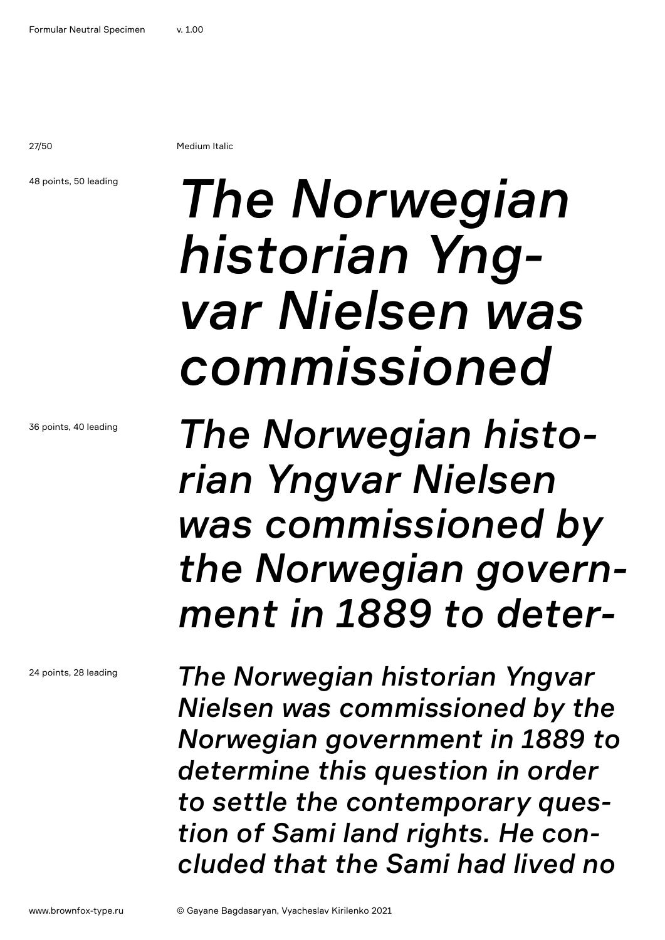27/50 Medium Italic

48 points, 50 leading

36 points, 40 leading

24 points, 28 leading

# *The Norwegian historian Yngvar Nielsen was commissioned*

*The Norwegian historian Yngvar Nielsen was commissioned by the Norwegian government in 1889 to deter-*

*The Norwegian historian Yngvar Nielsen was commissioned by the Norwegian government in 1889 to determine this question in order to settle the contemporary question of Sami land rights. He concluded that the Sami had lived no*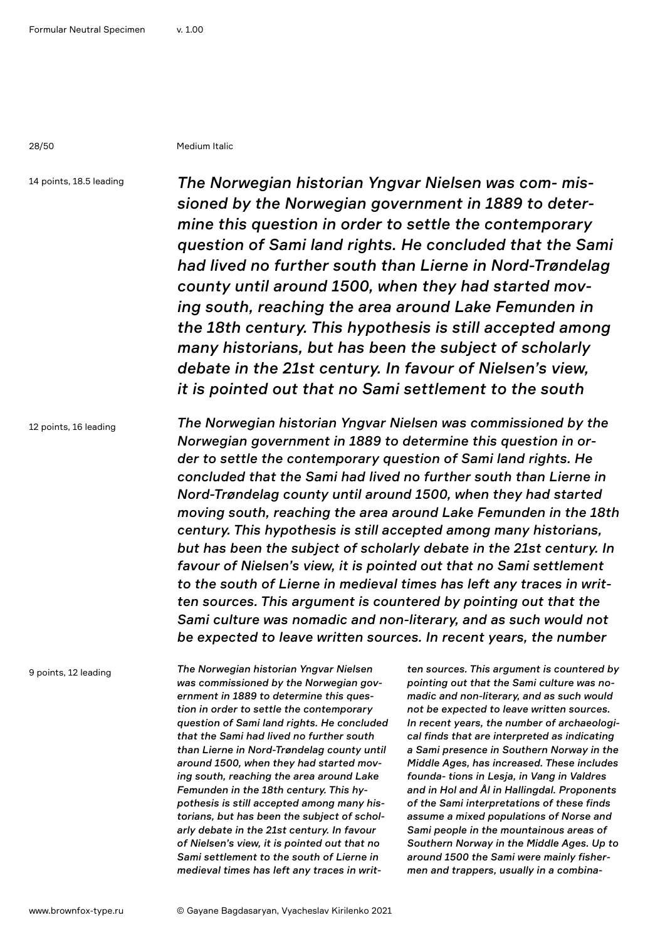28/50 Medium Italic

14 points, 18.5 leading

*The Norwegian historian Yngvar Nielsen was com- missioned by the Norwegian government in 1889 to determine this question in order to settle the contemporary question of Sami land rights. He concluded that the Sami had lived no further south than Lierne in Nord-Trøndelag county until around 1500, when they had started moving south, reaching the area around Lake Femunden in the 18th century. This hypothesis is still accepted among many historians, but has been the subject of scholarly debate in the 21st century. In favour of Nielsen's view, it is pointed out that no Sami settlement to the south* 

12 points, 16 leading

*The Norwegian historian Yngvar Nielsen was commissioned by the Norwegian government in 1889 to determine this question in order to settle the contemporary question of Sami land rights. He concluded that the Sami had lived no further south than Lierne in Nord-Trøndelag county until around 1500, when they had started moving south, reaching the area around Lake Femunden in the 18th century. This hypothesis is still accepted among many historians, but has been the subject of scholarly debate in the 21st century. In favour of Nielsen's view, it is pointed out that no Sami settlement to the south of Lierne in medieval times has left any traces in written sources. This argument is countered by pointing out that the Sami culture was nomadic and non-literary, and as such would not be expected to leave written sources. In recent years, the number* 

9 points, 12 leading

*The Norwegian historian Yngvar Nielsen was commissioned by the Norwegian government in 1889 to determine this question in order to settle the contemporary question of Sami land rights. He concluded that the Sami had lived no further south than Lierne in Nord-Trøndelag county until around 1500, when they had started moving south, reaching the area around Lake Femunden in the 18th century. This hypothesis is still accepted among many historians, but has been the subject of scholarly debate in the 21st century. In favour of Nielsen's view, it is pointed out that no Sami settlement to the south of Lierne in medieval times has left any traces in writ-*

*ten sources. This argument is countered by pointing out that the Sami culture was nomadic and non-literary, and as such would not be expected to leave written sources. In recent years, the number of archaeological finds that are interpreted as indicating a Sami presence in Southern Norway in the Middle Ages, has increased. These includes founda- tions in Lesja, in Vang in Valdres and in Hol and Ål in Hallingdal. Proponents of the Sami interpretations of these finds assume a mixed populations of Norse and Sami people in the mountainous areas of Southern Norway in the Middle Ages. Up to around 1500 the Sami were mainly fishermen and trappers, usually in a combina-*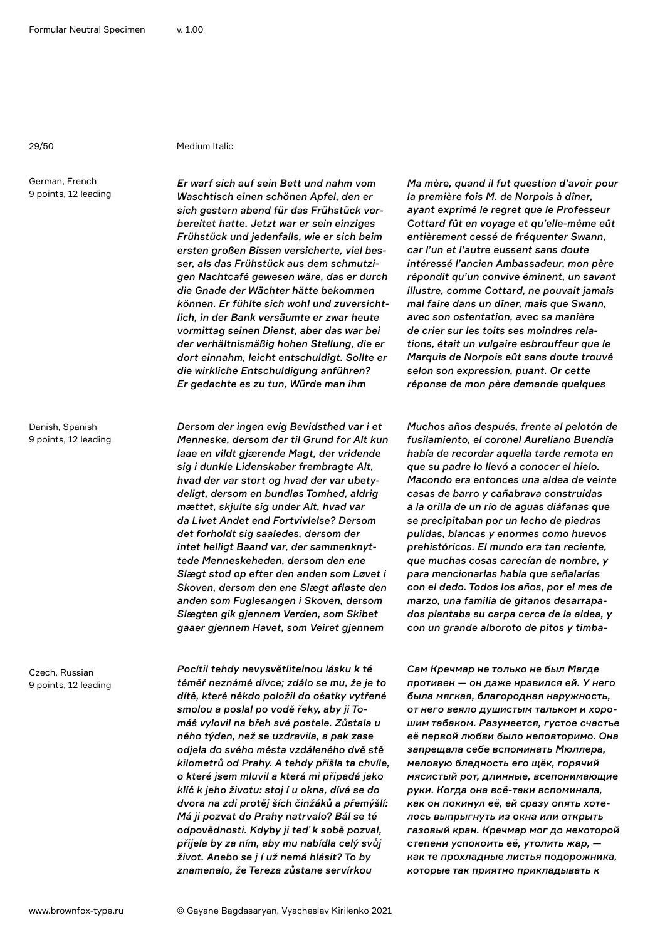#### 29/50 Medium Italic

German, French 9 points, 12 leading

Danish, Spanish 9 points, 12 leading

Czech, Russian 9 points, 12 leading *Er warf sich auf sein Bett und nahm vom Waschtisch einen schönen Apfel, den er sich gestern abend für das Frühstück vorbereitet hatte. Jetzt war er sein einziges Frühstück und jedenfalls, wie er sich beim ersten großen Bissen versicherte, viel besser, als das Frühstück aus dem schmutzigen Nachtcafé gewesen wäre, das er durch die Gnade der Wächter hätte bekommen können. Er fühlte sich wohl und zuversichtlich, in der Bank versäumte er zwar heute vormittag seinen Dienst, aber das war bei der verhältnismäßig hohen Stellung, die er dort einnahm, leicht entschuldigt. Sollte er die wirkliche Entschuldigung anführen? Er gedachte es zu tun, Würde man ihm* 

*Dersom der ingen evig Bevidsthed var i et Menneske, dersom der til Grund for Alt kun laae en vildt gjærende Magt, der vridende sig i dunkle Lidenskaber frembragte Alt, hvad der var stort og hvad der var ubetydeligt, dersom en bundløs Tomhed, aldrig mættet, skjulte sig under Alt, hvad var da Livet Andet end Fortvivlelse? Dersom det forholdt sig saaledes, dersom der intet helligt Baand var, der sammenknyttede Menneskeheden, dersom den ene Slægt stod op efter den anden som Løvet i Skoven, dersom den ene Slægt afløste den anden som Fuglesangen i Skoven, dersom Slægten gik gjennem Verden, som Skibet gaaer gjennem Havet, som Veiret gjennem* 

*Pocítil tehdy nevysvětlitelnou lásku k té téměř neznámé dívce; zdálo se mu, že je to dítě, které někdo položil do ošatky vytřené smolou a poslal po vodě řeky, aby ji Tomáš vylovil na břeh své postele. Zůstala u něho týden, než se uzdravila, a pak zase odjela do svého města vzdáleného dvě stě kilometrů od Prahy. A tehdy přišla ta chvíle, o které jsem mluvil a která mi připadá jako klíč k jeho životu: stoj í u okna, dívá se do dvora na zdi protěj ších činžáků a přemýšlí: Má ji pozvat do Prahy natrvalo? Bál se té odpovědnosti. Kdyby ji teď k sobě pozval, přijela by za ním, aby mu nabídla celý svůj život. Anebo se j í už nemá hlásit? To by znamenalo, že Tereza zůstane servírkou* 

*Ma mère, quand il fut question d'avoir pour la première fois M. de Norpois à dîner, ayant exprimé le regret que le Professeur Cottard fût en voyage et qu'elle-même eût entièrement cessé de fréquenter Swann, car l'un et l'autre eussent sans doute intéressé l'ancien Ambassadeur, mon père répondit qu'un convive éminent, un savant illustre, comme Cottard, ne pouvait jamais mal faire dans un dîner, mais que Swann, avec son ostentation, avec sa manière de crier sur les toits ses moindres relations, était un vulgaire esbrouffeur que le Marquis de Norpois eût sans doute trouvé selon son expression, puant. Or cette réponse de mon père demande quelques* 

*Muchos años después, frente al pelotón de fusilamiento, el coronel Aureliano Buendía había de recordar aquella tarde remota en que su padre lo llevó a conocer el hielo. Macondo era entonces una aldea de veinte casas de barro y cañabrava construidas a la orilla de un río de aguas diáfanas que se precipitaban por un lecho de piedras pulidas, blancas y enormes como huevos prehistóricos. El mundo era tan reciente, que muchas cosas carecían de nombre, y para mencionarlas había que señalarías con el dedo. Todos los años, por el mes de marzo, una familia de gitanos desarrapados plantaba su carpa cerca de la aldea, y con un grande alboroto de pitos y timba-*

*Сам Кречмар не только не был Магде противен — он даже нравился ей. У него была мягкая, благородная наружность, от него веяло душистым тальком и хорошим табаком. Разумеется, густое счастье её первой любви было неповторимо. Она запрещала себе вспоминать Мюллера, меловую бледность его щёк, горячий мясистый рот, длинные, всепонимающие руки. Когда она всё-таки вспоминала, как он покинул её, ей сразу опять хотелось выпрыгнуть из окна или открыть газовый кран. Кречмар мог до некоторой степени успокоить её, утолить жар, как те прохладные листья подорожника, которые так приятно прикладывать к*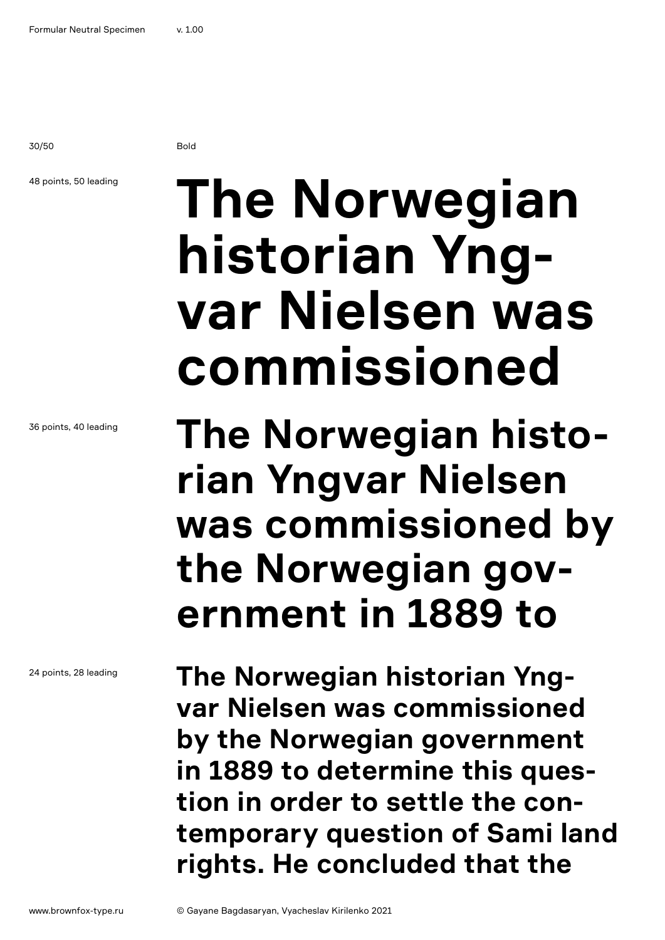30/50 Bold

### 48 points, 50 leading

**The Norwegian historian Yngvar Nielsen was commissioned**

**The Norwegian historian Yngvar Nielsen was commissioned by the Norwegian government in 1889 to** 

**The Norwegian historian Yngvar Nielsen was commissioned by the Norwegian government in 1889 to determine this question in order to settle the contemporary question of Sami land rights. He concluded that the** 

36 points, 40 leading

24 points, 28 leading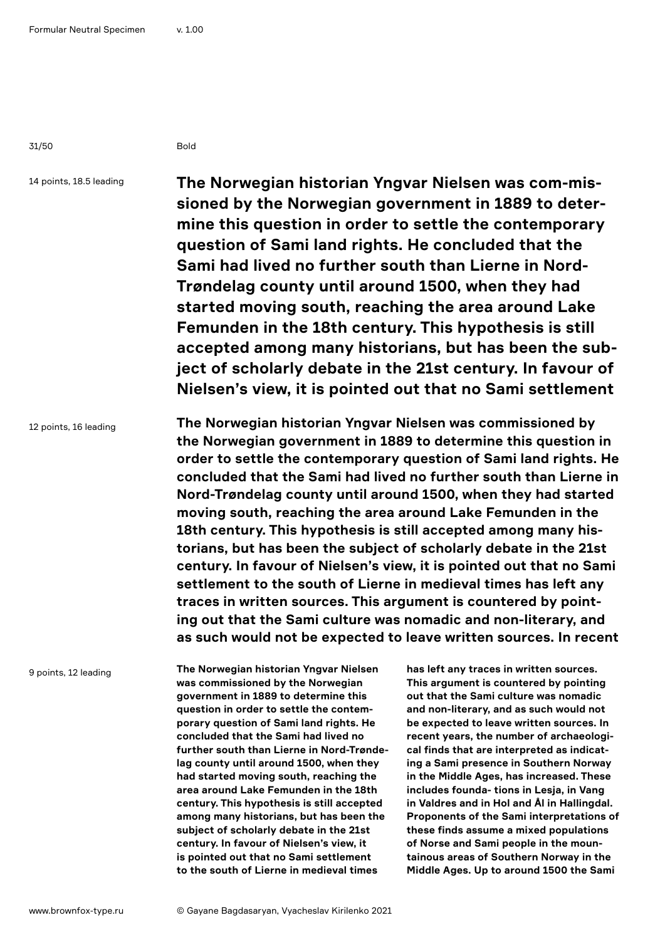31/50 Bold

14 points, 18.5 leading

**The Norwegian historian Yngvar Nielsen was com-missioned by the Norwegian government in 1889 to determine this question in order to settle the contemporary question of Sami land rights. He concluded that the Sami had lived no further south than Lierne in Nord-Trøndelag county until around 1500, when they had started moving south, reaching the area around Lake Femunden in the 18th century. This hypothesis is still accepted among many historians, but has been the subject of scholarly debate in the 21st century. In favour of Nielsen's view, it is pointed out that no Sami settlement** 

12 points, 16 leading **The Norwegian historian Yngvar Nielsen was commissioned by the Norwegian government in 1889 to determine this question in order to settle the contemporary question of Sami land rights. He concluded that the Sami had lived no further south than Lierne in Nord-Trøndelag county until around 1500, when they had started moving south, reaching the area around Lake Femunden in the 18th century. This hypothesis is still accepted among many historians, but has been the subject of scholarly debate in the 21st century. In favour of Nielsen's view, it is pointed out that no Sami settlement to the south of Lierne in medieval times has left any traces in written sources. This argument is countered by pointing out that the Sami culture was nomadic and non-literary, and as such would not be expected to leave written sources. In recent** 

9 points, 12 leading

**The Norwegian historian Yngvar Nielsen was commissioned by the Norwegian government in 1889 to determine this question in order to settle the contemporary question of Sami land rights. He concluded that the Sami had lived no further south than Lierne in Nord-Trøndelag county until around 1500, when they had started moving south, reaching the area around Lake Femunden in the 18th century. This hypothesis is still accepted among many historians, but has been the subject of scholarly debate in the 21st century. In favour of Nielsen's view, it is pointed out that no Sami settlement to the south of Lierne in medieval times** 

**has left any traces in written sources. This argument is countered by pointing out that the Sami culture was nomadic and non-literary, and as such would not be expected to leave written sources. In recent years, the number of archaeological finds that are interpreted as indicating a Sami presence in Southern Norway in the Middle Ages, has increased. These includes founda- tions in Lesja, in Vang in Valdres and in Hol and Ål in Hallingdal. Proponents of the Sami interpretations of these finds assume a mixed populations of Norse and Sami people in the mountainous areas of Southern Norway in the Middle Ages. Up to around 1500 the Sami**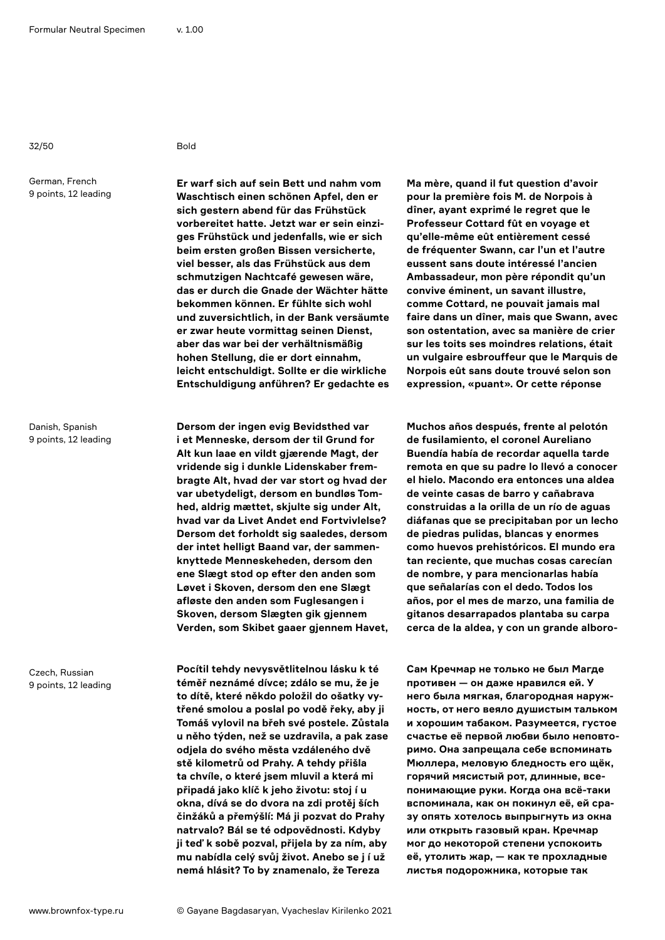32/50 Bold

German, French 9 points, 12 leading

Danish, Spanish 9 points, 12 leading

Czech, Russian 9 points, 12 leading

**Er warf sich auf sein Bett und nahm vom Waschtisch einen schönen Apfel, den er sich gestern abend für das Frühstück vorbereitet hatte. Jetzt war er sein einziges Frühstück und jedenfalls, wie er sich beim ersten großen Bissen versicherte, viel besser, als das Frühstück aus dem schmutzigen Nachtcafé gewesen wäre, das er durch die Gnade der Wächter hätte bekommen können. Er fühlte sich wohl und zuversichtlich, in der Bank versäumte er zwar heute vormittag seinen Dienst, aber das war bei der verhältnismäßig hohen Stellung, die er dort einnahm, leicht entschuldigt. Sollte er die wirkliche Entschuldigung anführen? Er gedachte es** 

**Dersom der ingen evig Bevidsthed var i et Menneske, dersom der til Grund for Alt kun laae en vildt gjærende Magt, der vridende sig i dunkle Lidenskaber frembragte Alt, hvad der var stort og hvad der var ubetydeligt, dersom en bundløs Tomhed, aldrig mættet, skjulte sig under Alt, hvad var da Livet Andet end Fortvivlelse? Dersom det forholdt sig saaledes, dersom der intet helligt Baand var, der sammenknyttede Menneskeheden, dersom den ene Slægt stod op efter den anden som Løvet i Skoven, dersom den ene Slægt afløste den anden som Fuglesangen i Skoven, dersom Slægten gik gjennem Verden, som Skibet gaaer gjennem Havet,** 

**Pocítil tehdy nevysvětlitelnou lásku k té téměř neznámé dívce; zdálo se mu, že je to dítě, které někdo položil do ošatky vytřené smolou a poslal po vodě řeky, aby ji Tomáš vylovil na břeh své postele. Zůstala u něho týden, než se uzdravila, a pak zase odjela do svého města vzdáleného dvě stě kilometrů od Prahy. A tehdy přišla ta chvíle, o které jsem mluvil a která mi připadá jako klíč k jeho životu: stoj í u okna, dívá se do dvora na zdi protěj ších činžáků a přemýšlí: Má ji pozvat do Prahy natrvalo? Bál se té odpovědnosti. Kdyby ji teď k sobě pozval, přijela by za ním, aby mu nabídla celý svůj život. Anebo se j í už nemá hlásit? To by znamenalo, že Tereza** 

**Ma mère, quand il fut question d'avoir pour la première fois M. de Norpois à dîner, ayant exprimé le regret que le Professeur Cottard fût en voyage et qu'elle-même eût entièrement cessé de fréquenter Swann, car l'un et l'autre eussent sans doute intéressé l'ancien Ambassadeur, mon père répondit qu'un convive éminent, un savant illustre, comme Cottard, ne pouvait jamais mal faire dans un dîner, mais que Swann, avec son ostentation, avec sa manière de crier sur les toits ses moindres relations, était un vulgaire esbrouffeur que le Marquis de Norpois eût sans doute trouvé selon son expression, «puant». Or cette réponse** 

**Muchos años después, frente al pelotón de fusilamiento, el coronel Aureliano Buendía había de recordar aquella tarde remota en que su padre lo llevó a conocer el hielo. Macondo era entonces una aldea de veinte casas de barro y cañabrava construidas a la orilla de un río de aguas diáfanas que se precipitaban por un lecho de piedras pulidas, blancas y enormes como huevos prehistóricos. El mundo era tan reciente, que muchas cosas carecían de nombre, y para mencionarlas había que señalarías con el dedo. Todos los años, por el mes de marzo, una familia de gitanos desarrapados plantaba su carpa cerca de la aldea, y con un grande alboro-**

**Сам Кречмар не только не был Магде противен — он даже нравился ей. У него была мягкая, благородная наружность, от него веяло душистым тальком и хорошим табаком. Разумеется, густое счастье её первой любви было неповторимо. Она запрещала себе вспоминать Мюллера, меловую бледность его щёк, горячий мясистый рот, длинные, всепонимающие руки. Когда она всё-таки вспоминала, как он покинул её, ей сразу опять хотелось выпрыгнуть из окна или открыть газовый кран. Кречмар мог до некоторой степени успокоить её, утолить жар, — как те прохладные листья подорожника, которые так**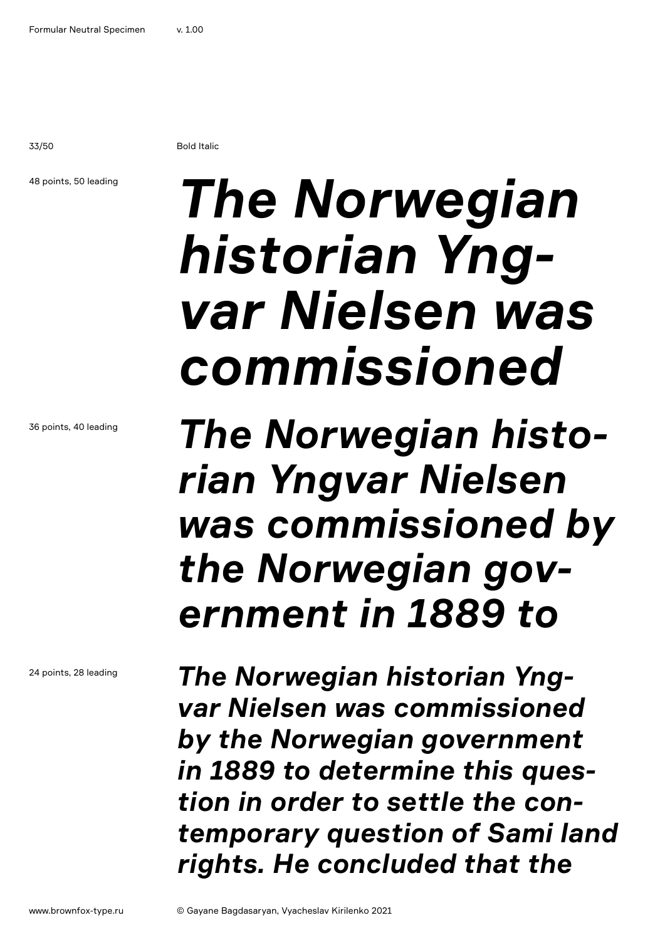33/50 Bold Italic

### 48 points, 50 leading

## *The Norwegian historian Yngvar Nielsen was commissioned*

*The Norwegian historian Yngvar Nielsen was commissioned by the Norwegian government in 1889 to* 

*The Norwegian historian Yngvar Nielsen was commissioned by the Norwegian government in 1889 to determine this question in order to settle the contemporary question of Sami land rights. He concluded that the* 

36 points, 40 leading

24 points, 28 leading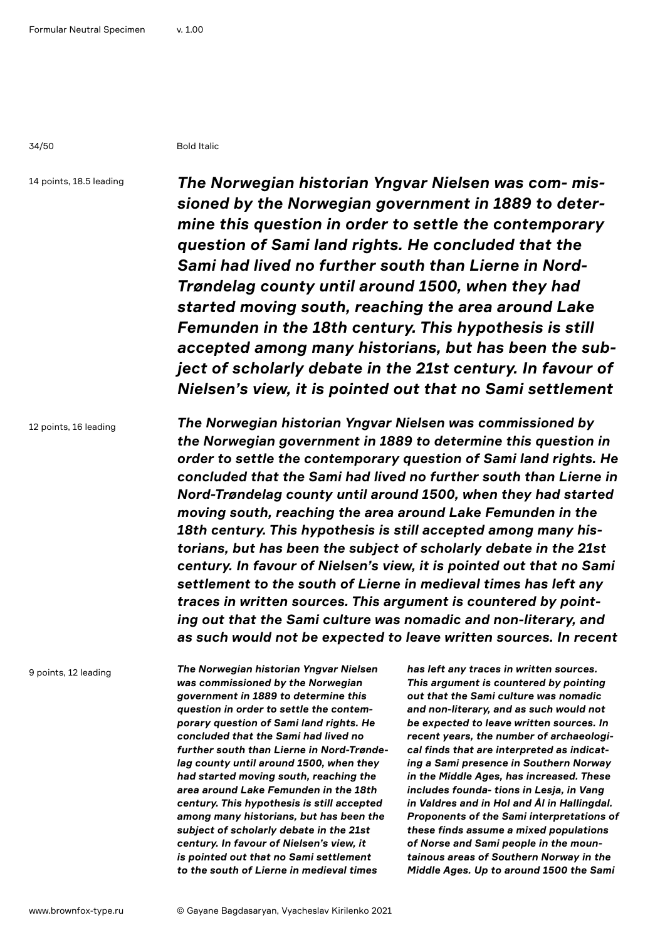34/50 Bold Italic

14 points, 18.5 leading

*The Norwegian historian Yngvar Nielsen was com- missioned by the Norwegian government in 1889 to determine this question in order to settle the contemporary question of Sami land rights. He concluded that the Sami had lived no further south than Lierne in Nord-Trøndelag county until around 1500, when they had started moving south, reaching the area around Lake Femunden in the 18th century. This hypothesis is still accepted among many historians, but has been the subject of scholarly debate in the 21st century. In favour of Nielsen's view, it is pointed out that no Sami settlement* 

12 points, 16 leading

*The Norwegian historian Yngvar Nielsen was commissioned by the Norwegian government in 1889 to determine this question in order to settle the contemporary question of Sami land rights. He concluded that the Sami had lived no further south than Lierne in Nord-Trøndelag county until around 1500, when they had started moving south, reaching the area around Lake Femunden in the 18th century. This hypothesis is still accepted among many historians, but has been the subject of scholarly debate in the 21st century. In favour of Nielsen's view, it is pointed out that no Sami settlement to the south of Lierne in medieval times has left any traces in written sources. This argument is countered by pointing out that the Sami culture was nomadic and non-literary, and as such would not be expected to leave written sources. In recent* 

9 points, 12 leading

*The Norwegian historian Yngvar Nielsen was commissioned by the Norwegian government in 1889 to determine this question in order to settle the contemporary question of Sami land rights. He concluded that the Sami had lived no further south than Lierne in Nord-Trøndelag county until around 1500, when they had started moving south, reaching the area around Lake Femunden in the 18th century. This hypothesis is still accepted among many historians, but has been the subject of scholarly debate in the 21st century. In favour of Nielsen's view, it is pointed out that no Sami settlement to the south of Lierne in medieval times* 

*has left any traces in written sources. This argument is countered by pointing out that the Sami culture was nomadic and non-literary, and as such would not be expected to leave written sources. In recent years, the number of archaeological finds that are interpreted as indicating a Sami presence in Southern Norway in the Middle Ages, has increased. These includes founda- tions in Lesja, in Vang in Valdres and in Hol and Ål in Hallingdal. Proponents of the Sami interpretations of these finds assume a mixed populations of Norse and Sami people in the mountainous areas of Southern Norway in the Middle Ages. Up to around 1500 the Sami*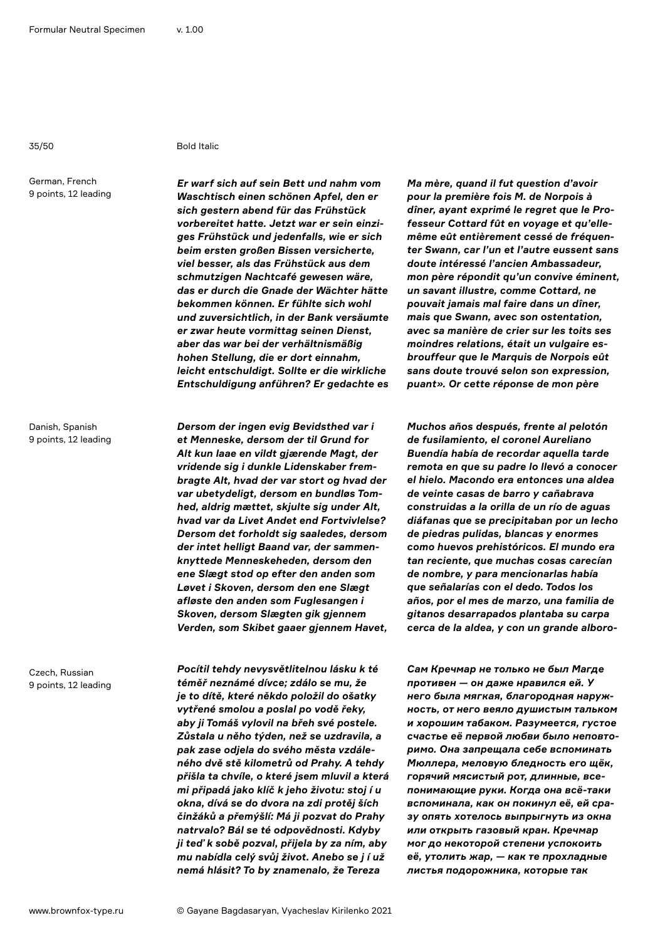#### 35/50 Bold Italic

German, French 9 points, 12 leading

Danish, Spanish 9 points, 12 leading

Czech, Russian 9 points, 12 leading *Er warf sich auf sein Bett und nahm vom Waschtisch einen schönen Apfel, den er sich gestern abend für das Frühstück vorbereitet hatte. Jetzt war er sein einziges Frühstück und jedenfalls, wie er sich beim ersten großen Bissen versicherte, viel besser, als das Frühstück aus dem schmutzigen Nachtcafé gewesen wäre, das er durch die Gnade der Wächter hätte bekommen können. Er fühlte sich wohl und zuversichtlich, in der Bank versäumte er zwar heute vormittag seinen Dienst, aber das war bei der verhältnismäßig hohen Stellung, die er dort einnahm, leicht entschuldigt. Sollte er die wirkliche Entschuldigung anführen? Er gedachte es* 

*Dersom der ingen evig Bevidsthed var i et Menneske, dersom der til Grund for Alt kun laae en vildt gjærende Magt, der vridende sig i dunkle Lidenskaber frembragte Alt, hvad der var stort og hvad der var ubetydeligt, dersom en bundløs Tomhed, aldrig mættet, skjulte sig under Alt, hvad var da Livet Andet end Fortvivlelse? Dersom det forholdt sig saaledes, dersom der intet helligt Baand var, der sammenknyttede Menneskeheden, dersom den ene Slægt stod op efter den anden som Løvet i Skoven, dersom den ene Slægt afløste den anden som Fuglesangen i Skoven, dersom Slægten gik gjennem Verden, som Skibet gaaer gjennem Havet,* 

*Pocítil tehdy nevysvětlitelnou lásku k té téměř neznámé dívce; zdálo se mu, že je to dítě, které někdo položil do ošatky vytřené smolou a poslal po vodě řeky, aby ji Tomáš vylovil na břeh své postele. Zůstala u něho týden, než se uzdravila, a pak zase odjela do svého města vzdáleného dvě stě kilometrů od Prahy. A tehdy přišla ta chvíle, o které jsem mluvil a která mi připadá jako klíč k jeho životu: stoj í u okna, dívá se do dvora na zdi protěj ších činžáků a přemýšlí: Má ji pozvat do Prahy natrvalo? Bál se té odpovědnosti. Kdyby ji teď k sobě pozval, přijela by za ním, aby mu nabídla celý svůj život. Anebo se j í už nemá hlásit? To by znamenalo, že Tereza* 

*Ma mère, quand il fut question d'avoir pour la première fois M. de Norpois à dîner, ayant exprimé le regret que le Professeur Cottard fût en voyage et qu'ellemême eût entièrement cessé de fréquenter Swann, car l'un et l'autre eussent sans doute intéressé l'ancien Ambassadeur, mon père répondit qu'un convive éminent, un savant illustre, comme Cottard, ne pouvait jamais mal faire dans un dîner, mais que Swann, avec son ostentation, avec sa manière de crier sur les toits ses moindres relations, était un vulgaire esbrouffeur que le Marquis de Norpois eût sans doute trouvé selon son expression, puant». Or cette réponse de mon père* 

*Muchos años después, frente al pelotón de fusilamiento, el coronel Aureliano Buendía había de recordar aquella tarde remota en que su padre lo llevó a conocer el hielo. Macondo era entonces una aldea de veinte casas de barro y cañabrava construidas a la orilla de un río de aguas diáfanas que se precipitaban por un lecho de piedras pulidas, blancas y enormes como huevos prehistóricos. El mundo era tan reciente, que muchas cosas carecían de nombre, y para mencionarlas había que señalarías con el dedo. Todos los años, por el mes de marzo, una familia de gitanos desarrapados plantaba su carpa cerca de la aldea, y con un grande alboro-*

*Сам Кречмар не только не был Магде противен — он даже нравился ей. У него была мягкая, благородная наружность, от него веяло душистым тальком и хорошим табаком. Разумеется, густое счастье её первой любви было неповторимо. Она запрещала себе вспоминать Мюллера, меловую бледность его щёк, горячий мясистый рот, длинные, всепонимающие руки. Когда она всё-таки вспоминала, как он покинул её, ей сразу опять хотелось выпрыгнуть из окна или открыть газовый кран. Кречмар мог до некоторой степени успокоить её, утолить жар, — как те прохладные листья подорожника, которые так*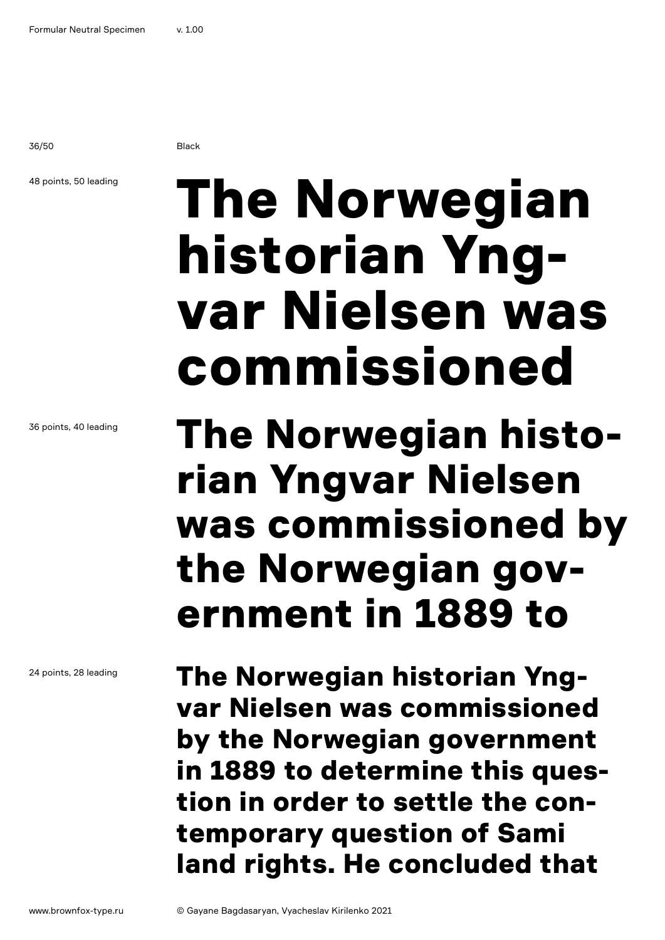36/50 Black

### 48 points, 50 leading

The Norwegian historian Yngvar Nielsen was commissioned

### The Norwegian historian Yngvar Nielsen was commissioned by the Norwegian government in 1889 to

The Norwegian historian Yngvar Nielsen was commissioned by the Norwegian government in 1889 to determine this question in order to settle the contemporary question of Sami land rights. He concluded that

36 points, 40 leading

24 points, 28 leading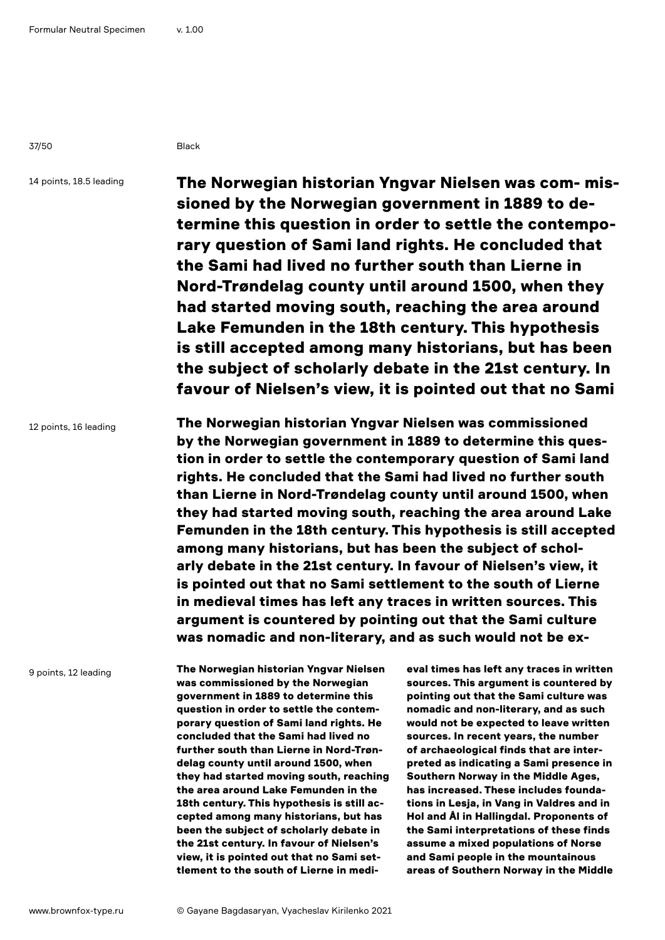37/50 Black

14 points, 18.5 leading

The Norwegian historian Yngvar Nielsen was com- missioned by the Norwegian government in 1889 to determine this question in order to settle the contemporary question of Sami land rights. He concluded that the Sami had lived no further south than Lierne in Nord-Trøndelag county until around 1500, when they had started moving south, reaching the area around Lake Femunden in the 18th century. This hypothesis is still accepted among many historians, but has been the subject of scholarly debate in the 21st century. In favour of Nielsen's view, it is pointed out that no Sami

12 points, 16 leading

The Norwegian historian Yngvar Nielsen was commissioned by the Norwegian government in 1889 to determine this question in order to settle the contemporary question of Sami land rights. He concluded that the Sami had lived no further south than Lierne in Nord-Trøndelag county until around 1500, when they had started moving south, reaching the area around Lake Femunden in the 18th century. This hypothesis is still accepted among many historians, but has been the subject of scholarly debate in the 21st century. In favour of Nielsen's view, it is pointed out that no Sami settlement to the south of Lierne in medieval times has left any traces in written sources. This argument is countered by pointing out that the Sami culture was nomadic and non-literary, and as such would not be ex-

9 points, 12 leading

The Norwegian historian Yngvar Nielsen was commissioned by the Norwegian government in 1889 to determine this question in order to settle the contemporary question of Sami land rights. He concluded that the Sami had lived no further south than Lierne in Nord-Trøndelag county until around 1500, when they had started moving south, reaching the area around Lake Femunden in the 18th century. This hypothesis is still accepted among many historians, but has been the subject of scholarly debate in the 21st century. In favour of Nielsen's view, it is pointed out that no Sami settlement to the south of Lierne in medi-

eval times has left any traces in written sources. This argument is countered by pointing out that the Sami culture was nomadic and non-literary, and as such would not be expected to leave written sources. In recent years, the number of archaeological finds that are interpreted as indicating a Sami presence in Southern Norway in the Middle Ages, has increased. These includes foundations in Lesja, in Vang in Valdres and in Hol and Ål in Hallingdal. Proponents of the Sami interpretations of these finds assume a mixed populations of Norse and Sami people in the mountainous areas of Southern Norway in the Middle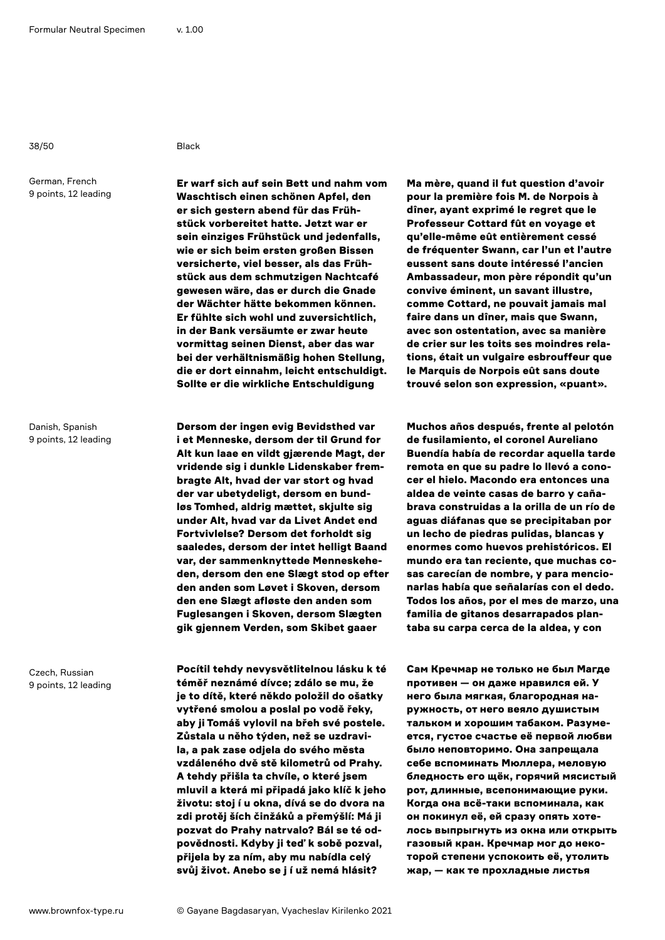38/50 Black

German, French 9 points, 12 leading

Danish, Spanish 9 points, 12 leading

Czech, Russian 9 points, 12 leading

Er warf sich auf sein Bett und nahm vom Waschtisch einen schönen Apfel, den er sich gestern abend für das Frühstück vorbereitet hatte. Jetzt war er sein einziges Frühstück und jedenfalls, wie er sich beim ersten großen Bissen versicherte, viel besser, als das Frühstück aus dem schmutzigen Nachtcafé gewesen wäre, das er durch die Gnade der Wächter hätte bekommen können. Er fühlte sich wohl und zuversichtlich, in der Bank versäumte er zwar heute vormittag seinen Dienst, aber das war bei der verhältnismäßig hohen Stellung, die er dort einnahm, leicht entschuldigt. Sollte er die wirkliche Entschuldigung

Dersom der ingen evig Bevidsthed var i et Menneske, dersom der til Grund for Alt kun laae en vildt gjærende Magt, der vridende sig i dunkle Lidenskaber frembragte Alt, hvad der var stort og hvad der var ubetydeligt, dersom en bundløs Tomhed, aldrig mættet, skjulte sig under Alt, hvad var da Livet Andet end Fortvivlelse? Dersom det forholdt sig saaledes, dersom der intet helligt Baand var, der sammenknyttede Menneskeheden, dersom den ene Slægt stod op efter den anden som Løvet i Skoven, dersom den ene Slægt afløste den anden som Fuglesangen i Skoven, dersom Slægten gik gjennem Verden, som Skibet gaaer

Pocítil tehdy nevysvětlitelnou lásku k té téměř neznámé dívce; zdálo se mu, že je to dítě, které někdo položil do ošatky vytřené smolou a poslal po vodě řeky, aby ji Tomáš vylovil na břeh své postele. Zůstala u něho týden, než se uzdravila, a pak zase odjela do svého města vzdáleného dvě stě kilometrů od Prahy. A tehdy přišla ta chvíle, o které jsem mluvil a která mi připadá jako klíč k jeho životu: stoj í u okna, dívá se do dvora na zdi protěj ších činžáků a přemýšlí: Má ji pozvat do Prahy natrvalo? Bál se té odpovědnosti. Kdyby ji teď k sobě pozval, přijela by za ním, aby mu nabídla celý svůj život. Anebo se j í už nemá hlásit?

Ma mère, quand il fut question d'avoir pour la première fois M. de Norpois à dîner, ayant exprimé le regret que le Professeur Cottard fût en voyage et qu'elle-même eût entièrement cessé de fréquenter Swann, car l'un et l'autre eussent sans doute intéressé l'ancien Ambassadeur, mon père répondit qu'un convive éminent, un savant illustre, comme Cottard, ne pouvait jamais mal faire dans un dîner, mais que Swann, avec son ostentation, avec sa manière de crier sur les toits ses moindres relations, était un vulgaire esbrouffeur que le Marquis de Norpois eût sans doute trouvé selon son expression, «puant».

Muchos años después, frente al pelotón de fusilamiento, el coronel Aureliano Buendía había de recordar aquella tarde remota en que su padre lo llevó a conocer el hielo. Macondo era entonces una aldea de veinte casas de barro y cañabrava construidas a la orilla de un río de aguas diáfanas que se precipitaban por un lecho de piedras pulidas, blancas y enormes como huevos prehistóricos. El mundo era tan reciente, que muchas cosas carecían de nombre, y para mencionarlas había que señalarías con el dedo. Todos los años, por el mes de marzo, una familia de gitanos desarrapados plantaba su carpa cerca de la aldea, y con

Сам Кречмар не только не был Магде противен — он даже нравился ей. У него была мягкая, благородная наружность, от него веяло душистым тальком и хорошим табаком. Разумеется, густое счастье её первой любви было неповторимо. Она запрещала себе вспоминать Мюллера, меловую бледность его щёк, горячий мясистый рот, длинные, всепонимающие руки. Когда она всё-таки вспоминала, как он покинул её, ей сразу опять хотелось выпрыгнуть из окна или открыть газовый кран. Кречмар мог до некоторой степени успокоить её, утолить жар, — как те прохладные листья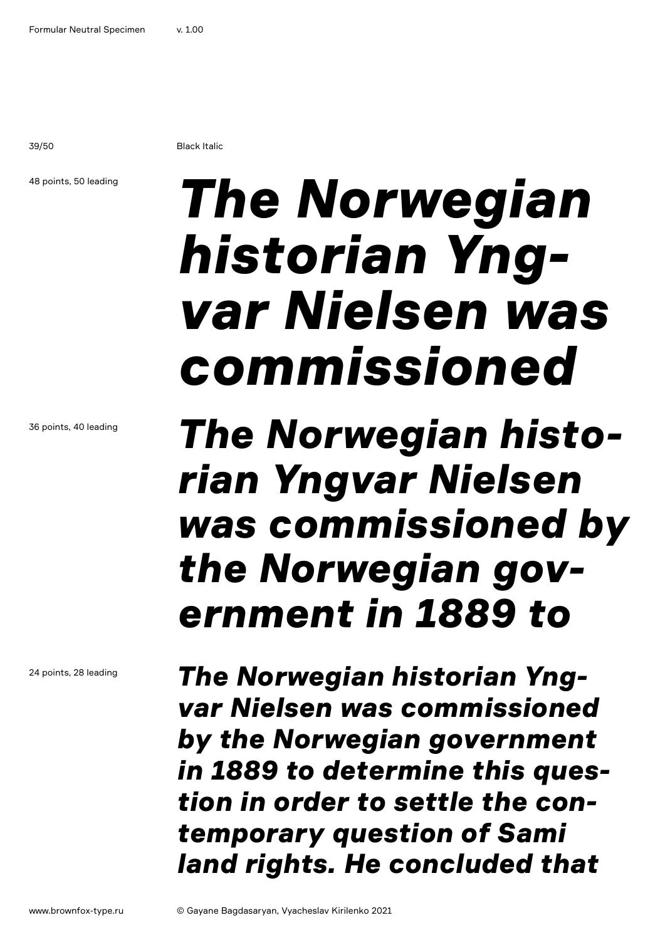39/50 Black Italic

### 48 points, 50 leading

## *The Norwegian historian Yngvar Nielsen was commissioned*

### *The Norwegian historian Yngvar Nielsen was commissioned by the Norwegian government in 1889 to*

*The Norwegian historian Yngvar Nielsen was commissioned by the Norwegian government in 1889 to determine this question in order to settle the contemporary question of Sami land rights. He concluded that* 

24 points, 28 leading

36 points, 40 leading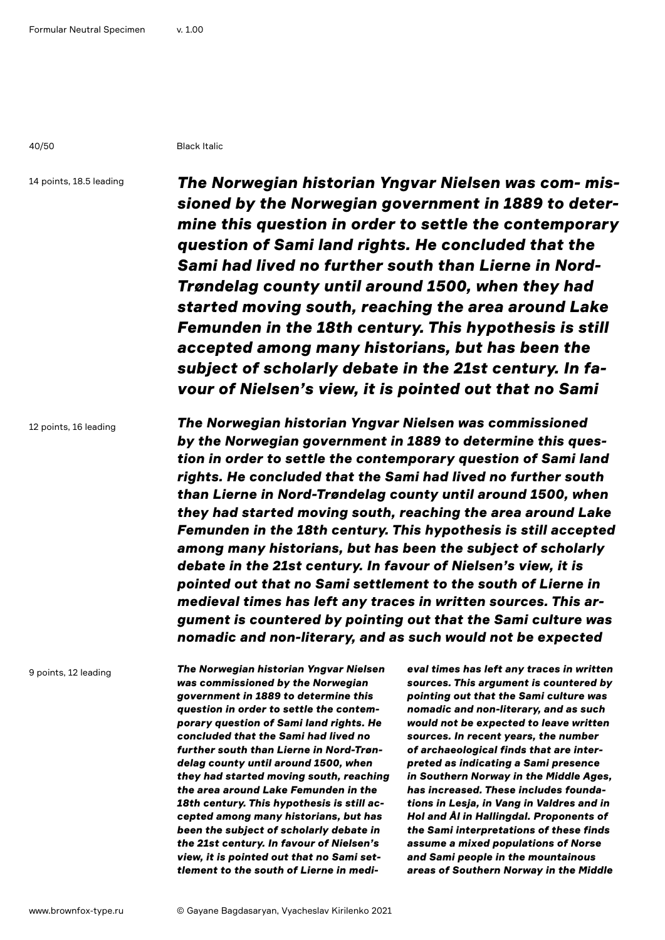40/50 Black Italic

14 points, 18.5 leading

*The Norwegian historian Yngvar Nielsen was com- missioned by the Norwegian government in 1889 to determine this question in order to settle the contemporary question of Sami land rights. He concluded that the Sami had lived no further south than Lierne in Nord-Trøndelag county until around 1500, when they had started moving south, reaching the area around Lake Femunden in the 18th century. This hypothesis is still accepted among many historians, but has been the subject of scholarly debate in the 21st century. In favour of Nielsen's view, it is pointed out that no Sami* 

12 points, 16 leading

*The Norwegian historian Yngvar Nielsen was commissioned by the Norwegian government in 1889 to determine this question in order to settle the contemporary question of Sami land rights. He concluded that the Sami had lived no further south than Lierne in Nord-Trøndelag county until around 1500, when they had started moving south, reaching the area around Lake Femunden in the 18th century. This hypothesis is still accepted among many historians, but has been the subject of scholarly debate in the 21st century. In favour of Nielsen's view, it is pointed out that no Sami settlement to the south of Lierne in medieval times has left any traces in written sources. This argument is countered by pointing out that the Sami culture was nomadic and non-literary, and as such would not be expected* 

9 points, 12 leading

*The Norwegian historian Yngvar Nielsen was commissioned by the Norwegian government in 1889 to determine this question in order to settle the contemporary question of Sami land rights. He concluded that the Sami had lived no further south than Lierne in Nord-Trøndelag county until around 1500, when they had started moving south, reaching the area around Lake Femunden in the 18th century. This hypothesis is still accepted among many historians, but has been the subject of scholarly debate in the 21st century. In favour of Nielsen's view, it is pointed out that no Sami settlement to the south of Lierne in medi-* *eval times has left any traces in written sources. This argument is countered by pointing out that the Sami culture was nomadic and non-literary, and as such would not be expected to leave written sources. In recent years, the number of archaeological finds that are interpreted as indicating a Sami presence in Southern Norway in the Middle Ages, has increased. These includes foundations in Lesja, in Vang in Valdres and in Hol and Ål in Hallingdal. Proponents of the Sami interpretations of these finds assume a mixed populations of Norse and Sami people in the mountainous areas of Southern Norway in the Middle*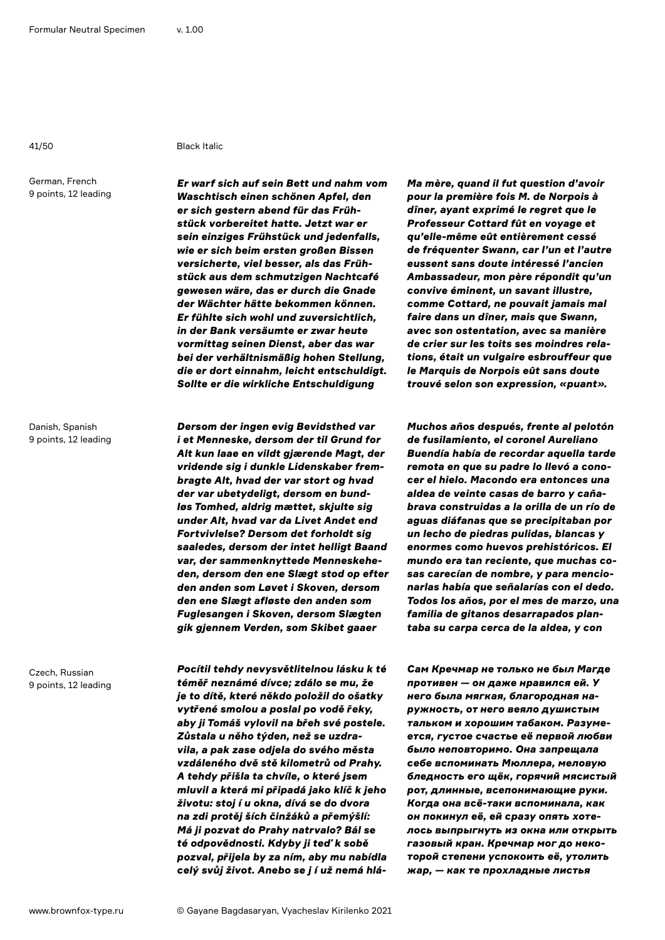#### 41/50 Black Italic

German, French 9 points, 12 leading

Danish, Spanish 9 points, 12 leading

Czech, Russian 9 points, 12 leading

*Er warf sich auf sein Bett und nahm vom Waschtisch einen schönen Apfel, den er sich gestern abend für das Frühstück vorbereitet hatte. Jetzt war er sein einziges Frühstück und jedenfalls, wie er sich beim ersten großen Bissen versicherte, viel besser, als das Frühstück aus dem schmutzigen Nachtcafé gewesen wäre, das er durch die Gnade der Wächter hätte bekommen können. Er fühlte sich wohl und zuversichtlich, in der Bank versäumte er zwar heute vormittag seinen Dienst, aber das war bei der verhältnismäßig hohen Stellung, die er dort einnahm, leicht entschuldigt. Sollte er die wirkliche Entschuldigung* 

*Dersom der ingen evig Bevidsthed var i et Menneske, dersom der til Grund for Alt kun laae en vildt gjærende Magt, der vridende sig i dunkle Lidenskaber frembragte Alt, hvad der var stort og hvad der var ubetydeligt, dersom en bundløs Tomhed, aldrig mættet, skjulte sig under Alt, hvad var da Livet Andet end Fortvivlelse? Dersom det forholdt sig saaledes, dersom der intet helligt Baand var, der sammenknyttede Menneskeheden, dersom den ene Slægt stod op efter den anden som Løvet i Skoven, dersom den ene Slægt afløste den anden som Fuglesangen i Skoven, dersom Slægten gik gjennem Verden, som Skibet gaaer* 

*Pocítil tehdy nevysvětlitelnou lásku k té téměř neznámé dívce; zdálo se mu, že je to dítě, které někdo položil do ošatky vytřené smolou a poslal po vodě řeky, aby ji Tomáš vylovil na břeh své postele. Zůstala u něho týden, než se uzdravila, a pak zase odjela do svého města vzdáleného dvě stě kilometrů od Prahy. A tehdy přišla ta chvíle, o které jsem mluvil a která mi připadá jako klíč k jeho životu: stoj í u okna, dívá se do dvora na zdi protěj ších činžáků a přemýšlí: Má ji pozvat do Prahy natrvalo? Bál se té odpovědnosti. Kdyby ji teď k sobě pozval, přijela by za ním, aby mu nabídla celý svůj život. Anebo se j í už nemá hlá-* *Ma mère, quand il fut question d'avoir pour la première fois M. de Norpois à dîner, ayant exprimé le regret que le Professeur Cottard fût en voyage et qu'elle-même eût entièrement cessé de fréquenter Swann, car l'un et l'autre eussent sans doute intéressé l'ancien Ambassadeur, mon père répondit qu'un convive éminent, un savant illustre, comme Cottard, ne pouvait jamais mal faire dans un dîner, mais que Swann, avec son ostentation, avec sa manière de crier sur les toits ses moindres relations, était un vulgaire esbrouffeur que le Marquis de Norpois eût sans doute trouvé selon son expression, «puant».* 

*Muchos años después, frente al pelotón de fusilamiento, el coronel Aureliano Buendía había de recordar aquella tarde remota en que su padre lo llevó a conocer el hielo. Macondo era entonces una aldea de veinte casas de barro y cañabrava construidas a la orilla de un río de aguas diáfanas que se precipitaban por un lecho de piedras pulidas, blancas y enormes como huevos prehistóricos. El mundo era tan reciente, que muchas cosas carecían de nombre, y para mencionarlas había que señalarías con el dedo. Todos los años, por el mes de marzo, una familia de gitanos desarrapados plantaba su carpa cerca de la aldea, y con* 

*Сам Кречмар не только не был Магде противен — он даже нравился ей. У него была мягкая, благородная наружность, от него веяло душистым тальком и хорошим табаком. Разумеется, густое счастье её первой любви было неповторимо. Она запрещала себе вспоминать Мюллера, меловую бледность его щёк, горячий мясистый рот, длинные, всепонимающие руки. Когда она всё-таки вспоминала, как он покинул её, ей сразу опять хотелось выпрыгнуть из окна или открыть газовый кран. Кречмар мог до некоторой степени успокоить её, утолить жар, — как те прохладные листья*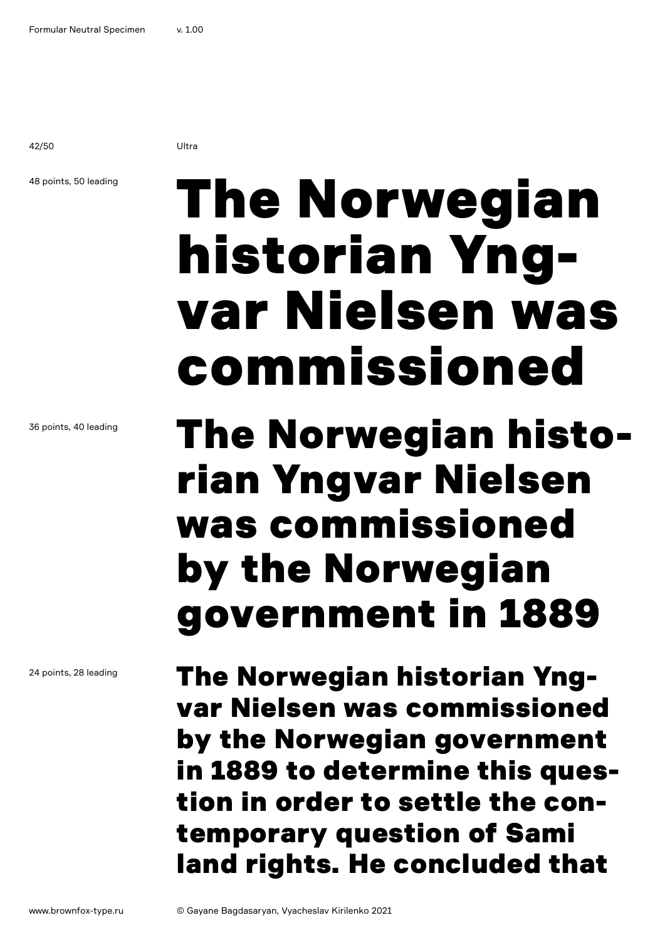42/50 Ultra

48 points, 50 leading

# The Norwegian historian Yngvar Nielsen was commissioned

### The Norwegian historian Yngvar Nielsen was commissioned by the Norwegian government in 1889

The Norwegian historian Yngvar Nielsen was commissioned by the Norwegian government in 1889 to determine this question in order to settle the contemporary question of Sami land rights. He concluded that

36 points, 40 leading

24 points, 28 leading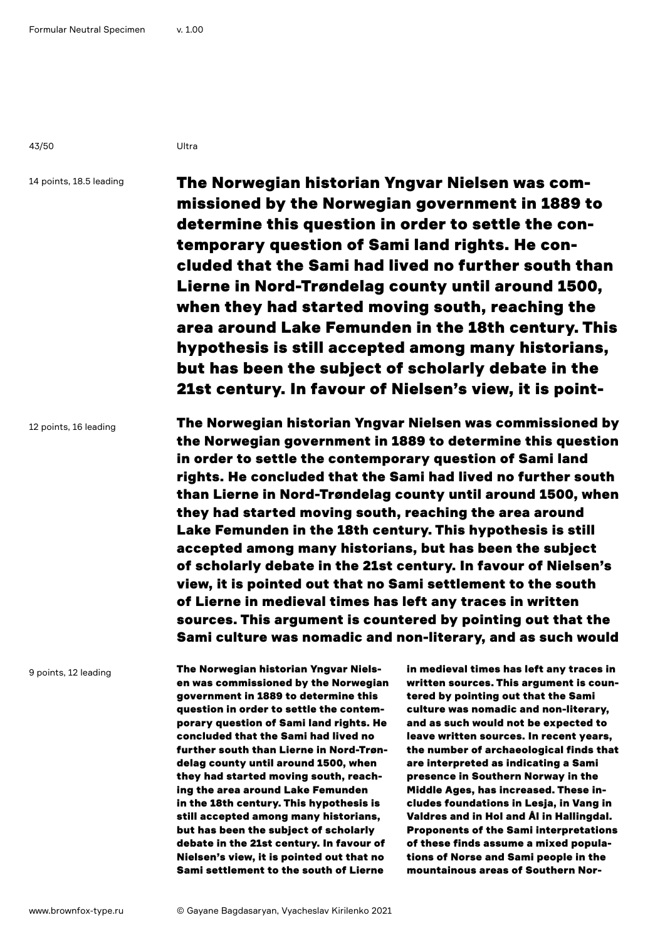43/50 Ultra

14 points, 18.5 leading

The Norwegian historian Yngvar Nielsen was commissioned by the Norwegian government in 1889 to determine this question in order to settle the contemporary question of Sami land rights. He concluded that the Sami had lived no further south than Lierne in Nord-Trøndelag county until around 1500, when they had started moving south, reaching the area around Lake Femunden in the 18th century. This hypothesis is still accepted among many historians, but has been the subject of scholarly debate in the 21st century. In favour of Nielsen's view, it is point-

12 points, 16 leading

The Norwegian historian Yngvar Nielsen was commissioned by the Norwegian government in 1889 to determine this question in order to settle the contemporary question of Sami land rights. He concluded that the Sami had lived no further south than Lierne in Nord-Trøndelag county until around 1500, when they had started moving south, reaching the area around Lake Femunden in the 18th century. This hypothesis is still accepted among many historians, but has been the subject of scholarly debate in the 21st century. In favour of Nielsen's view, it is pointed out that no Sami settlement to the south of Lierne in medieval times has left any traces in written sources. This argument is countered by pointing out that the Sami culture was nomadic and non-literary, and as such would

9 points, 12 leading

The Norwegian historian Yngvar Nielsen was commissioned by the Norwegian government in 1889 to determine this question in order to settle the contemporary question of Sami land rights. He concluded that the Sami had lived no further south than Lierne in Nord-Trøndelag county until around 1500, when they had started moving south, reaching the area around Lake Femunden in the 18th century. This hypothesis is still accepted among many historians, but has been the subject of scholarly debate in the 21st century. In favour of Nielsen's view, it is pointed out that no Sami settlement to the south of Lierne

in medieval times has left any traces in written sources. This argument is countered by pointing out that the Sami culture was nomadic and non-literary, and as such would not be expected to leave written sources. In recent years, the number of archaeological finds that are interpreted as indicating a Sami presence in Southern Norway in the Middle Ages, has increased. These includes foundations in Lesja, in Vang in Valdres and in Hol and Ål in Hallingdal. Proponents of the Sami interpretations of these finds assume a mixed populations of Norse and Sami people in the mountainous areas of Southern Nor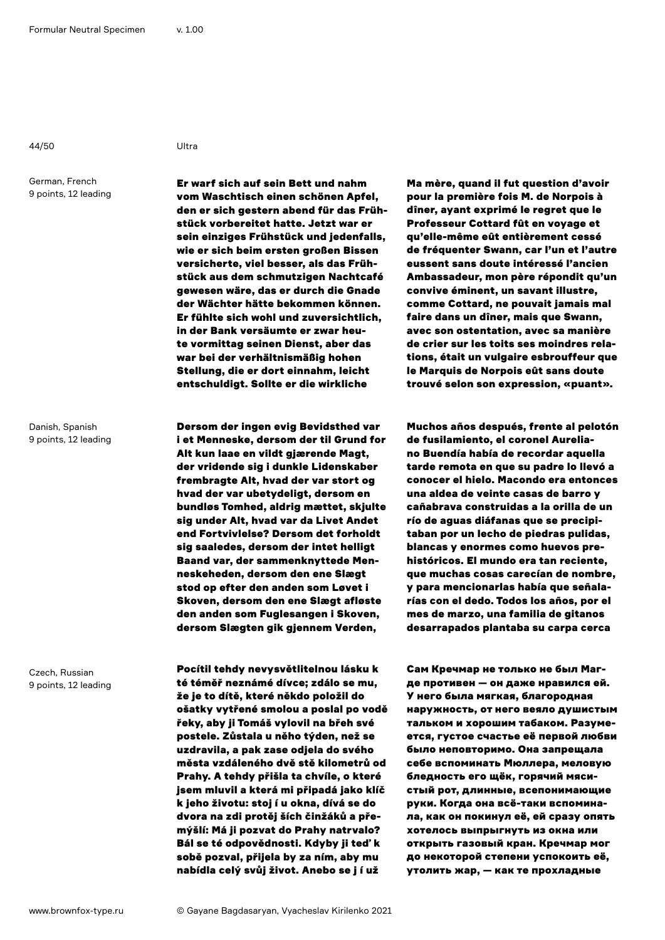44/50 Ultra

German, French 9 points, 12 leading

Danish, Spanish 9 points, 12 leading

Czech, Russian 9 points, 12 leading

Er warf sich auf sein Bett und nahm vom Waschtisch einen schönen Apfel, den er sich gestern abend für das Frühstück vorbereitet hatte. Jetzt war er sein einziges Frühstück und jedenfalls, wie er sich beim ersten großen Bissen versicherte, viel besser, als das Frühstück aus dem schmutzigen Nachtcafé gewesen wäre, das er durch die Gnade der Wächter hätte bekommen können. Er fühlte sich wohl und zuversichtlich, in der Bank versäumte er zwar heute vormittag seinen Dienst, aber das war bei der verhältnismäßig hohen Stellung, die er dort einnahm, leicht entschuldigt. Sollte er die wirkliche

Dersom der ingen evig Bevidsthed var i et Menneske, dersom der til Grund for Alt kun laae en vildt gjærende Magt, der vridende sig i dunkle Lidenskaber frembragte Alt, hvad der var stort og hvad der var ubetydeligt, dersom en bundløs Tomhed, aldrig mættet, skjulte sig under Alt, hvad var da Livet Andet end Fortvivlelse? Dersom det forholdt sig saaledes, dersom der intet helligt Baand var, der sammenknyttede Menneskeheden, dersom den ene Slægt stod op efter den anden som Løvet i Skoven, dersom den ene Slægt afløste den anden som Fuglesangen i Skoven, dersom Slægten gik gjennem Verden,

Pocítil tehdy nevysvětlitelnou lásku k té téměř neznámé dívce; zdálo se mu, že je to dítě, které někdo položil do ošatky vytřené smolou a poslal po vodě řeky, aby ji Tomáš vylovil na břeh své postele. Zůstala u něho týden, než se uzdravila, a pak zase odjela do svého města vzdáleného dvě stě kilometrů od Prahy. A tehdy přišla ta chvíle, o které jsem mluvil a která mi připadá jako klíč k jeho životu: stoj í u okna, dívá se do dvora na zdi protěj ších činžáků a přemýšlí: Má ji pozvat do Prahy natrvalo? Bál se té odpovědnosti. Kdyby ji teď k sobě pozval, přijela by za ním, aby mu nabídla celý svůj život. Anebo se j í už

Ma mère, quand il fut question d'avoir pour la première fois M. de Norpois à dîner, ayant exprimé le regret que le Professeur Cottard fût en voyage et qu'elle-même eût entièrement cessé de fréquenter Swann, car l'un et l'autre eussent sans doute intéressé l'ancien Ambassadeur, mon père répondit qu'un convive éminent, un savant illustre, comme Cottard, ne pouvait jamais mal faire dans un dîner, mais que Swann, avec son ostentation, avec sa manière de crier sur les toits ses moindres relations, était un vulgaire esbrouffeur que le Marquis de Norpois eût sans doute trouvé selon son expression, «puant».

Muchos años después, frente al pelotón de fusilamiento, el coronel Aureliano Buendía había de recordar aquella tarde remota en que su padre lo llevó a conocer el hielo. Macondo era entonces una aldea de veinte casas de barro y cañabrava construidas a la orilla de un río de aguas diáfanas que se precipitaban por un lecho de piedras pulidas, blancas y enormes como huevos prehistóricos. El mundo era tan reciente, que muchas cosas carecían de nombre, y para mencionarlas había que señalarías con el dedo. Todos los años, por el mes de marzo, una familia de gitanos desarrapados plantaba su carpa cerca

Сам Кречмар не только не был Магде противен — он даже нравился ей. У него была мягкая, благородная наружность, от него веяло душистым тальком и хорошим табаком. Разумеется, густое счастье её первой любви было неповторимо. Она запрещала себе вспоминать Мюллера, меловую бледность его щёк, горячий мясистый рот, длинные, всепонимающие руки. Когда она всё-таки вспоминала, как он покинул её, ей сразу опять хотелось выпрыгнуть из окна или открыть газовый кран. Кречмар мог до некоторой степени успокоить её, утолить жар, — как те прохладные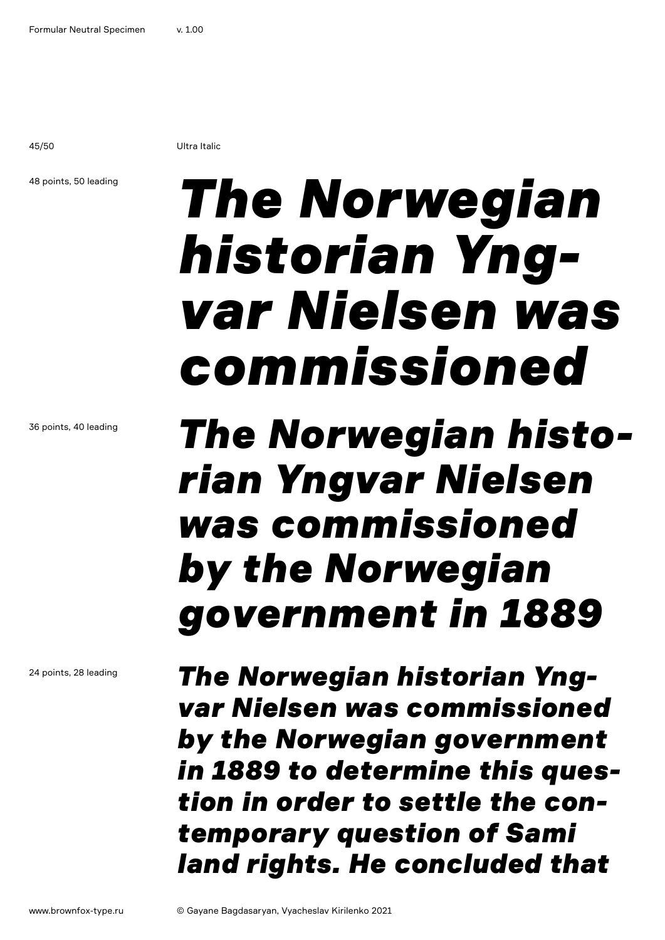45/50 Ultra Italic

### 48 points, 50 leading

## *The Norwegian historian Yngvar Nielsen was commissioned*

### *The Norwegian historian Yngvar Nielsen was commissioned by the Norwegian government in 1889*

*The Norwegian historian Yngvar Nielsen was commissioned by the Norwegian government in 1889 to determine this question in order to settle the contemporary question of Sami land rights. He concluded that* 

36 points, 40 leading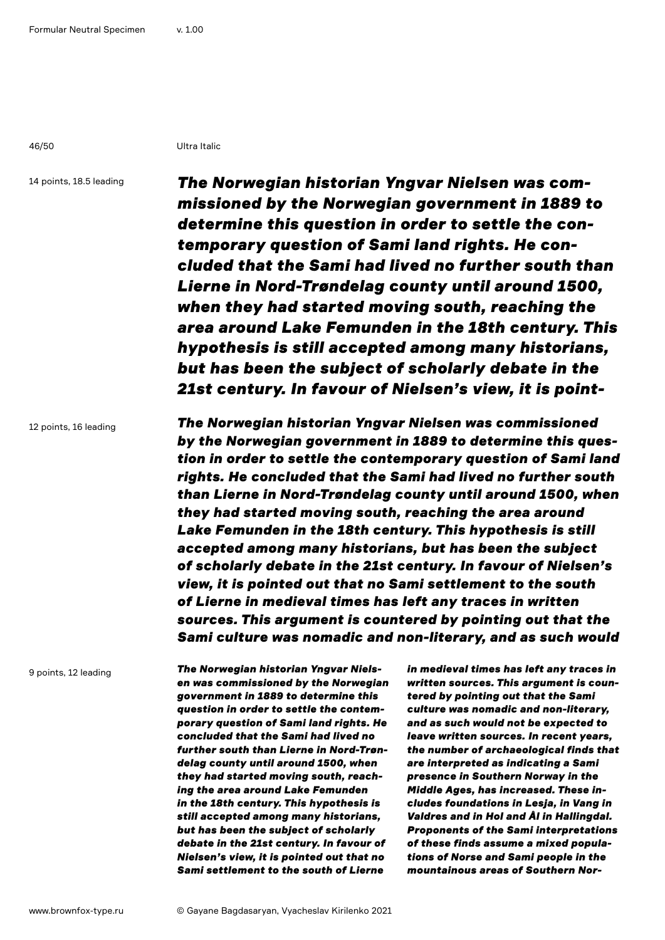46/50 Ultra Italic

14 points, 18.5 leading

*The Norwegian historian Yngvar Nielsen was commissioned by the Norwegian government in 1889 to determine this question in order to settle the contemporary question of Sami land rights. He concluded that the Sami had lived no further south than Lierne in Nord-Trøndelag county until around 1500, when they had started moving south, reaching the area around Lake Femunden in the 18th century. This hypothesis is still accepted among many historians, but has been the subject of scholarly debate in the 21st century. In favour of Nielsen's view, it is point-*

12 points, 16 leading

*The Norwegian historian Yngvar Nielsen was commissioned by the Norwegian government in 1889 to determine this question in order to settle the contemporary question of Sami land rights. He concluded that the Sami had lived no further south than Lierne in Nord-Trøndelag county until around 1500, when they had started moving south, reaching the area around Lake Femunden in the 18th century. This hypothesis is still accepted among many historians, but has been the subject of scholarly debate in the 21st century. In favour of Nielsen's view, it is pointed out that no Sami settlement to the south of Lierne in medieval times has left any traces in written sources. This argument is countered by pointing out that the Sami culture was nomadic and non-literary, and as such would* 

9 points, 12 leading

*The Norwegian historian Yngvar Nielsen was commissioned by the Norwegian government in 1889 to determine this question in order to settle the contemporary question of Sami land rights. He concluded that the Sami had lived no further south than Lierne in Nord-Trøndelag county until around 1500, when they had started moving south, reaching the area around Lake Femunden in the 18th century. This hypothesis is still accepted among many historians, but has been the subject of scholarly debate in the 21st century. In favour of Nielsen's view, it is pointed out that no Sami settlement to the south of Lierne* 

*in medieval times has left any traces in written sources. This argument is countered by pointing out that the Sami culture was nomadic and non-literary, and as such would not be expected to leave written sources. In recent years, the number of archaeological finds that are interpreted as indicating a Sami presence in Southern Norway in the Middle Ages, has increased. These includes foundations in Lesja, in Vang in Valdres and in Hol and Ål in Hallingdal. Proponents of the Sami interpretations of these finds assume a mixed populations of Norse and Sami people in the mountainous areas of Southern Nor-*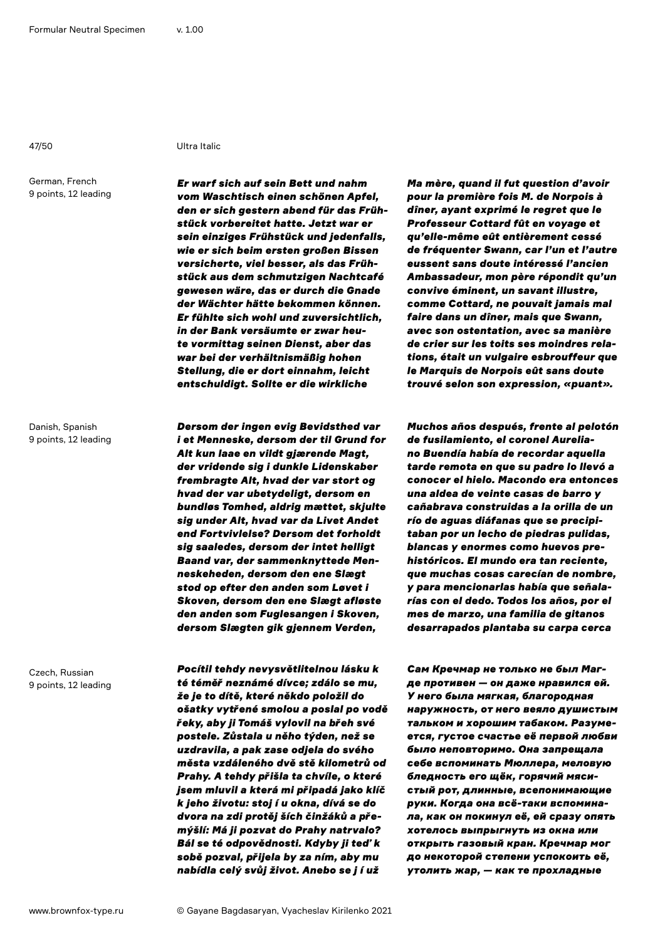### 47/50 Ultra Italic

German, French 9 points, 12 leading

Danish, Spanish 9 points, 12 leading

Czech, Russian 9 points, 12 leading

*Er warf sich auf sein Bett und nahm vom Waschtisch einen schönen Apfel, den er sich gestern abend für das Frühstück vorbereitet hatte. Jetzt war er sein einziges Frühstück und jedenfalls, wie er sich beim ersten großen Bissen versicherte, viel besser, als das Frühstück aus dem schmutzigen Nachtcafé gewesen wäre, das er durch die Gnade der Wächter hätte bekommen können. Er fühlte sich wohl und zuversichtlich, in der Bank versäumte er zwar heute vormittag seinen Dienst, aber das war bei der verhältnismäßig hohen Stellung, die er dort einnahm, leicht entschuldigt. Sollte er die wirkliche* 

*Dersom der ingen evig Bevidsthed var i et Menneske, dersom der til Grund for Alt kun laae en vildt gjærende Magt, der vridende sig i dunkle Lidenskaber frembragte Alt, hvad der var stort og hvad der var ubetydeligt, dersom en bundløs Tomhed, aldrig mættet, skjulte sig under Alt, hvad var da Livet Andet end Fortvivlelse? Dersom det forholdt sig saaledes, dersom der intet helligt Baand var, der sammenknyttede Menneskeheden, dersom den ene Slægt stod op efter den anden som Løvet i Skoven, dersom den ene Slægt afløste den anden som Fuglesangen i Skoven, dersom Slægten gik gjennem Verden,* 

*Pocítil tehdy nevysvětlitelnou lásku k té téměř neznámé dívce; zdálo se mu, že je to dítě, které někdo položil do ošatky vytřené smolou a poslal po vodě řeky, aby ji Tomáš vylovil na břeh své postele. Zůstala u něho týden, než se uzdravila, a pak zase odjela do svého města vzdáleného dvě stě kilometrů od Prahy. A tehdy přišla ta chvíle, o které jsem mluvil a která mi připadá jako klíč k jeho životu: stoj í u okna, dívá se do dvora na zdi protěj ších činžáků a přemýšlí: Má ji pozvat do Prahy natrvalo? Bál se té odpovědnosti. Kdyby ji teď k sobě pozval, přijela by za ním, aby mu nabídla celý svůj život. Anebo se j í už* 

*Ma mère, quand il fut question d'avoir pour la première fois M. de Norpois à dîner, ayant exprimé le regret que le Professeur Cottard fût en voyage et qu'elle-même eût entièrement cessé de fréquenter Swann, car l'un et l'autre eussent sans doute intéressé l'ancien Ambassadeur, mon père répondit qu'un convive éminent, un savant illustre, comme Cottard, ne pouvait jamais mal faire dans un dîner, mais que Swann, avec son ostentation, avec sa manière de crier sur les toits ses moindres relations, était un vulgaire esbrouffeur que le Marquis de Norpois eût sans doute trouvé selon son expression, «puant».* 

*Muchos años después, frente al pelotón de fusilamiento, el coronel Aureliano Buendía había de recordar aquella tarde remota en que su padre lo llevó a conocer el hielo. Macondo era entonces una aldea de veinte casas de barro y cañabrava construidas a la orilla de un río de aguas diáfanas que se precipitaban por un lecho de piedras pulidas, blancas y enormes como huevos prehistóricos. El mundo era tan reciente, que muchas cosas carecían de nombre, y para mencionarlas había que señalarías con el dedo. Todos los años, por el mes de marzo, una familia de gitanos desarrapados plantaba su carpa cerca* 

*Сам Кречмар не только не был Магде противен — он даже нравился ей. У него была мягкая, благородная наружность, от него веяло душистым тальком и хорошим табаком. Разумеется, густое счастье её первой любви было неповторимо. Она запрещала себе вспоминать Мюллера, меловую бледность его щёк, горячий мясистый рот, длинные, всепонимающие руки. Когда она всё-таки вспоминала, как он покинул её, ей сразу опять хотелось выпрыгнуть из окна или открыть газовый кран. Кречмар мог до некоторой степени успокоить её, утолить жар, — как те прохладные*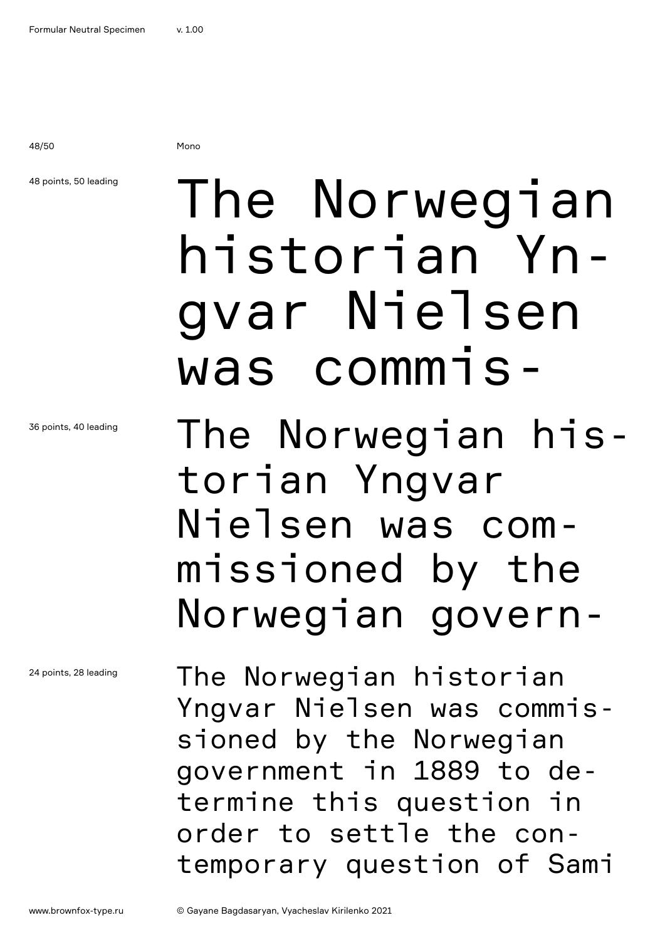48/50 Mono

### 48 points, 50 leading

36 points, 40 leading

24 points, 28 leading

## The Norwegian historian Yngvar Nielsen was commis-

The Norwegian historian Yngvar Nielsen was commissioned by the Norwegian govern-

The Norwegian historian Yngvar Nielsen was commissioned by the Norwegian government in 1889 to determine this question in order to settle the contemporary question of Sami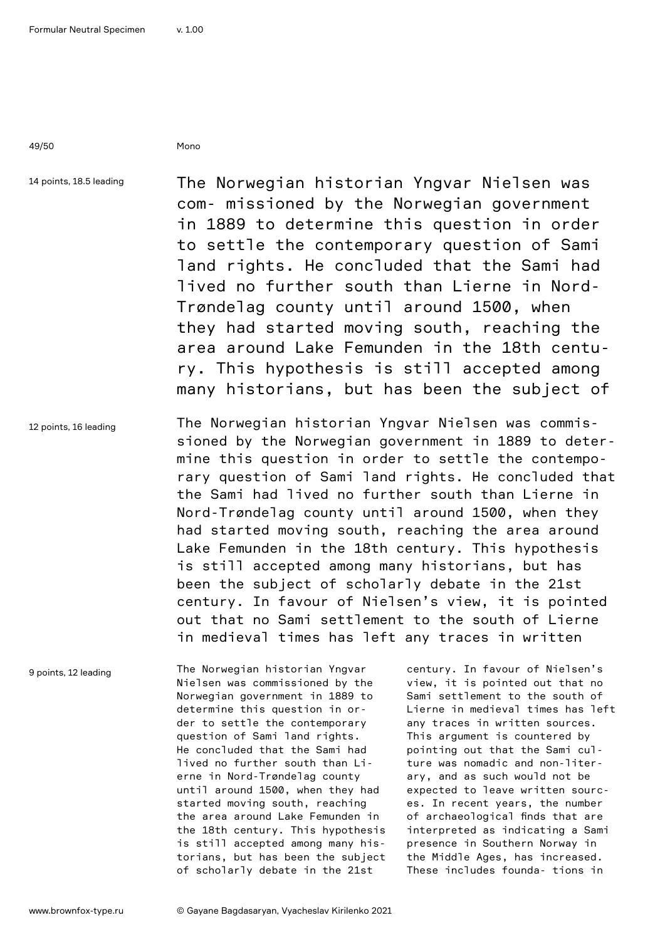49/50 Mono

14 points, 18.5 leading

The Norwegian historian Yngvar Nielsen was com- missioned by the Norwegian government in 1889 to determine this question in order to settle the contemporary question of Sami land rights. He concluded that the Sami had lived no further south than Lierne in Nord-Trøndelag county until around 1500, when they had started moving south, reaching the area around Lake Femunden in the 18th century. This hypothesis is still accepted among many historians, but has been the subject of

12 points, 16 leading The Norwegian historian Yngvar Nielsen was commissioned by the Norwegian government in 1889 to determine this question in order to settle the contemporary question of Sami land rights. He concluded that the Sami had lived no further south than Lierne in Nord-Trøndelag county until around 1500, when they had started moving south, reaching the area around Lake Femunden in the 18th century. This hypothesis is still accepted among many historians, but has been the subject of scholarly debate in the 21st century. In favour of Nielsen's view, it is pointed out that no Sami settlement to the south of Lierne in medieval times has left any traces in written

9 points, 12 leading

The Norwegian historian Yngvar Nielsen was commissioned by the Norwegian government in 1889 to determine this question in order to settle the contemporary question of Sami land rights. He concluded that the Sami had lived no further south than Lierne in Nord-Trøndelag county until around 1500, when they had started moving south, reaching the area around Lake Femunden in the 18th century. This hypothesis is still accepted among many historians, but has been the subject of scholarly debate in the 21st

century. In favour of Nielsen's view, it is pointed out that no Sami settlement to the south of Lierne in medieval times has left any traces in written sources. This argument is countered by pointing out that the Sami culture was nomadic and non-literary, and as such would not be expected to leave written sources. In recent years, the number of archaeological finds that are interpreted as indicating a Sami presence in Southern Norway in the Middle Ages, has increased. These includes founda- tions in